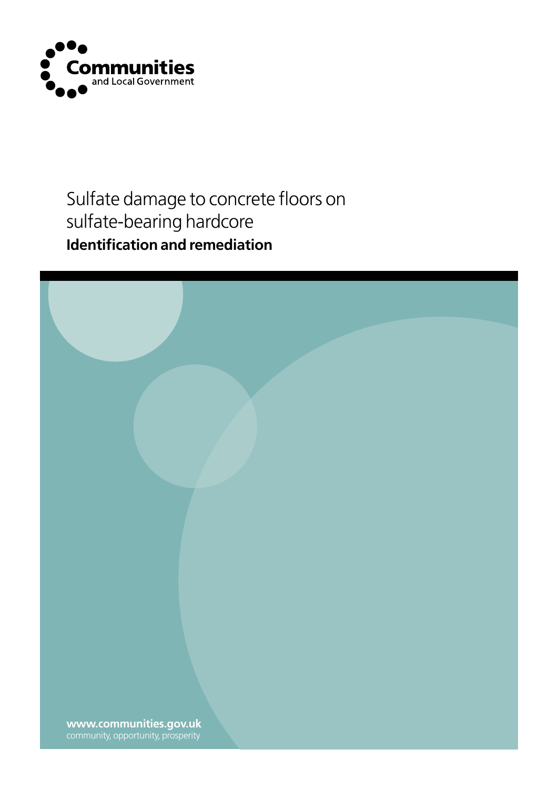

## Sulfate damage to concrete floors on sulfate-bearing hardcore **Identification and remediation**

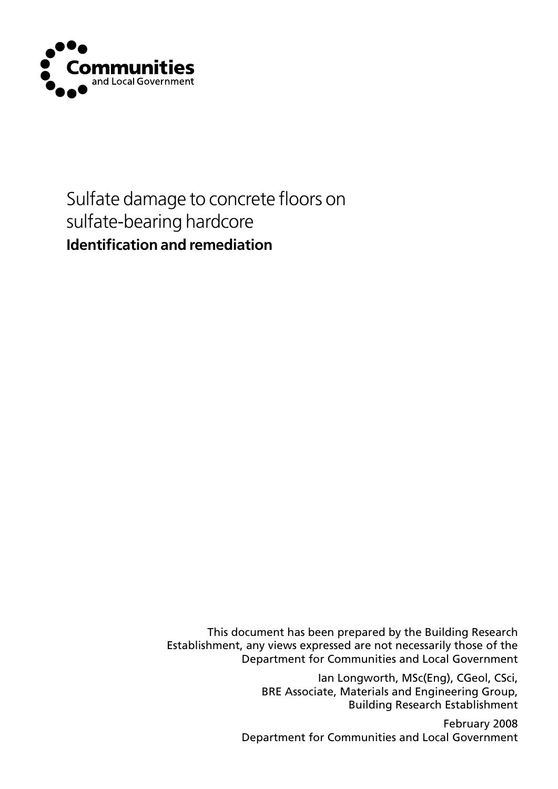

## Sulfate damage to concrete floors on sulfate-bearing hardcore **Identification and remediation**

This document has been prepared by the Building Research Establishment, any views expressed are not necessarily those of the Department for Communities and Local Government

> Ian Longworth, MSc(Eng), CGeol, CSci, BRE Associate, Materials and Engineering Group, Building Research Establishment

February 2008 Department for Communities and Local Government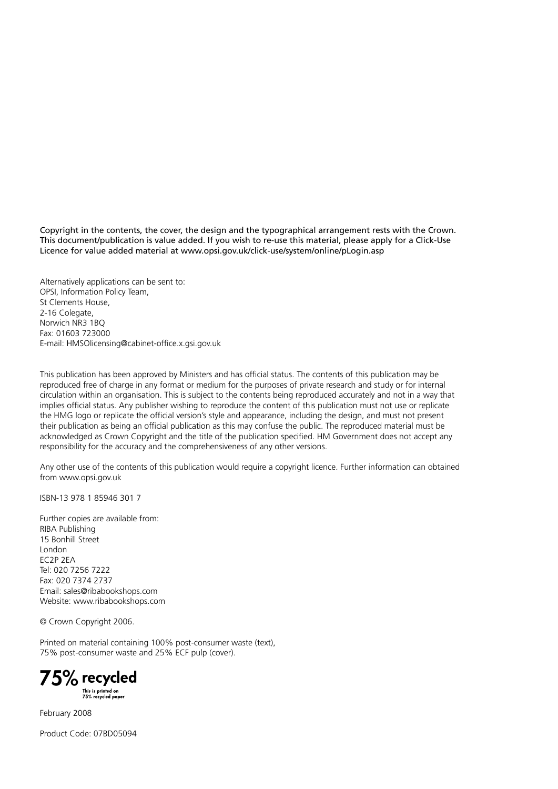Copyright in the contents, the cover, the design and the typographical arrangement rests with the Crown. This document/publication is value added. If you wish to re-use this material, please apply for a Click-Use Licence for value added material at www.opsi.gov.uk/click-use/system/online/pLogin.asp

Alternatively applications can be sent to: OPSI, Information Policy Team, St Clements House, 2-16 Colegate, Norwich NR3 1BQ Fax: 01603 723000 E-mail: HMSOlicensing@cabinet-office.x.gsi.gov.uk

This publication has been approved by Ministers and has official status. The contents of this publication may be reproduced free of charge in any format or medium for the purposes of private research and study or for internal circulation within an organisation. This is subject to the contents being reproduced accurately and not in a way that implies official status. Any publisher wishing to reproduce the content of this publication must not use or replicate the HMG logo or replicate the official version's style and appearance, including the design, and must not present their publication as being an official publication as this may confuse the public. The reproduced material must be acknowledged as Crown Copyright and the title of the publication specified. HM Government does not accept any responsibility for the accuracy and the comprehensiveness of any other versions.

Any other use of the contents of this publication would require a copyright licence. Further information can obtained from www.opsi.gov.uk

ISBN-13 978 1 85946 301 7

Further copies are available from: RIBA Publishing 15 Bonhill Street London EC2P 2EA Tel: 020 7256 7222 Fax: 020 7374 2737 Email: sales@ribabookshops.com Website: www.ribabookshops.com

© Crown Copyright 2006.

Printed on material containing 100% post-consumer waste (text), 75% post-consumer waste and 25% ECF pulp (cover).



February 2008

Product Code: 07BD05094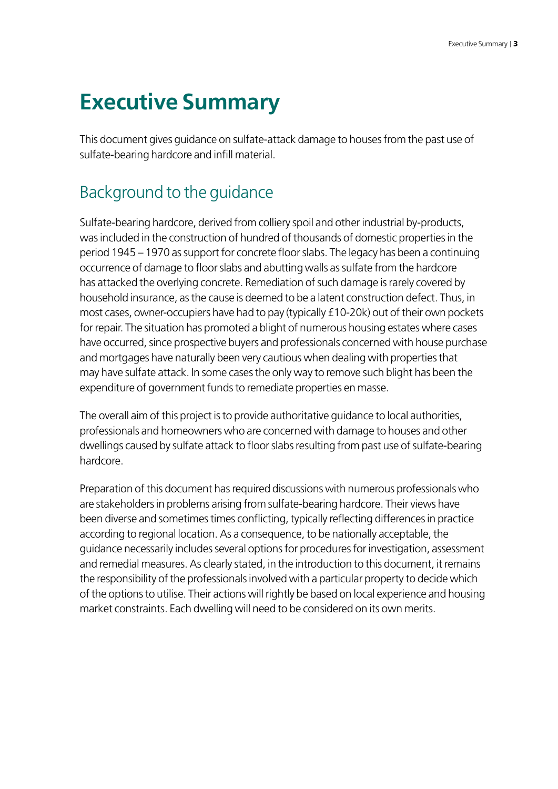## **Executive Summary**

This document gives guidance on sulfate-attack damage to houses from the past use of sulfate-bearing hardcore and infill material.

### Background to the guidance

Sulfate-bearing hardcore, derived from colliery spoil and other industrial by-products, was included in the construction of hundred of thousands of domestic properties in the period 1945 – 1970 as support for concrete floor slabs. The legacy has been a continuing occurrence of damage to floor slabs and abutting walls as sulfate from the hardcore has attacked the overlying concrete. Remediation of such damage is rarely covered by household insurance, as the cause is deemed to be a latent construction defect. Thus, in most cases, owner-occupiers have had to pay (typically £10-20k) out of their own pockets for repair. The situation has promoted a blight of numerous housing estates where cases have occurred, since prospective buyers and professionals concerned with house purchase and mortgages have naturally been very cautious when dealing with properties that may have sulfate attack. In some cases the only way to remove such blight has been the expenditure of government funds to remediate properties en masse.

The overall aim of this project is to provide authoritative guidance to local authorities, professionals and homeowners who are concerned with damage to houses and other dwellings caused by sulfate attack to floor slabs resulting from past use of sulfate-bearing hardcore.

Preparation of this document has required discussions with numerous professionals who are stakeholders in problems arising from sulfate-bearing hardcore. Their views have been diverse and sometimes times conflicting, typically reflecting differences in practice according to regional location. As a consequence, to be nationally acceptable, the guidance necessarily includes several options for procedures for investigation, assessment and remedial measures. As clearly stated, in the introduction to this document, it remains the responsibility of the professionals involved with a particular property to decide which of the options to utilise. Their actions will rightly be based on local experience and housing market constraints. Each dwelling will need to be considered on its own merits.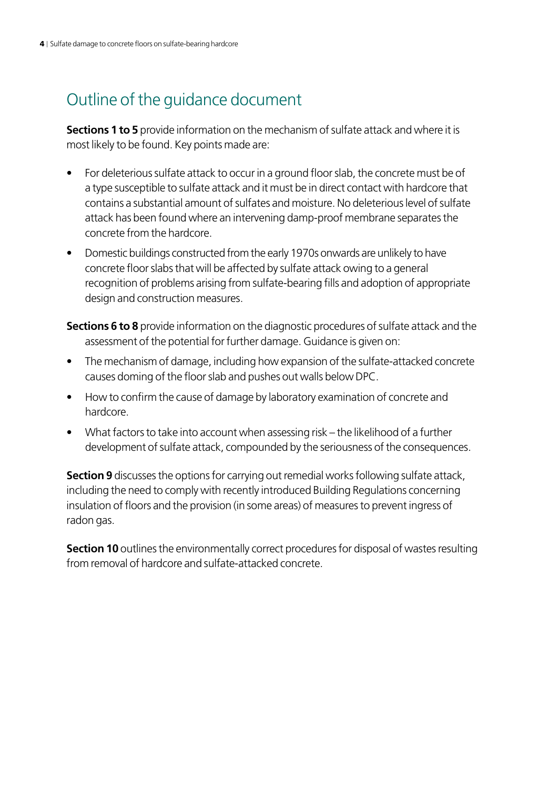## Outline of the guidance document

**Sections 1 to 5** provide information on the mechanism of sulfate attack and where it is most likely to be found. Key points made are:

- For deleterious sulfate attack to occur in a ground floor slab, the concrete must be of a type susceptible to sulfate attack and it must be in direct contact with hardcore that contains a substantial amount of sulfates and moisture. No deleterious level of sulfate attack has been found where an intervening damp-proof membrane separates the concrete from the hardcore.
- Domestic buildings constructed from the early 1970s onwards are unlikely to have concrete floor slabs that will be affected by sulfate attack owing to a general recognition of problems arising from sulfate-bearing fills and adoption of appropriate design and construction measures.
- **Sections 6 to 8** provide information on the diagnostic procedures of sulfate attack and the assessment of the potential for further damage. Guidance is given on:
- The mechanism of damage, including how expansion of the sulfate-attacked concrete causes doming of the floor slab and pushes out walls below DPC.
- How to confirm the cause of damage by laboratory examination of concrete and hardcore.
- What factors to take into account when assessing risk the likelihood of a further development of sulfate attack, compounded by the seriousness of the consequences.

**Section 9** discusses the options for carrying out remedial works following sulfate attack, including the need to comply with recently introduced Building Regulations concerning insulation of floors and the provision (in some areas) of measures to prevent ingress of radon gas.

**Section 10** outlines the environmentally correct procedures for disposal of wastes resulting from removal of hardcore and sulfate-attacked concrete.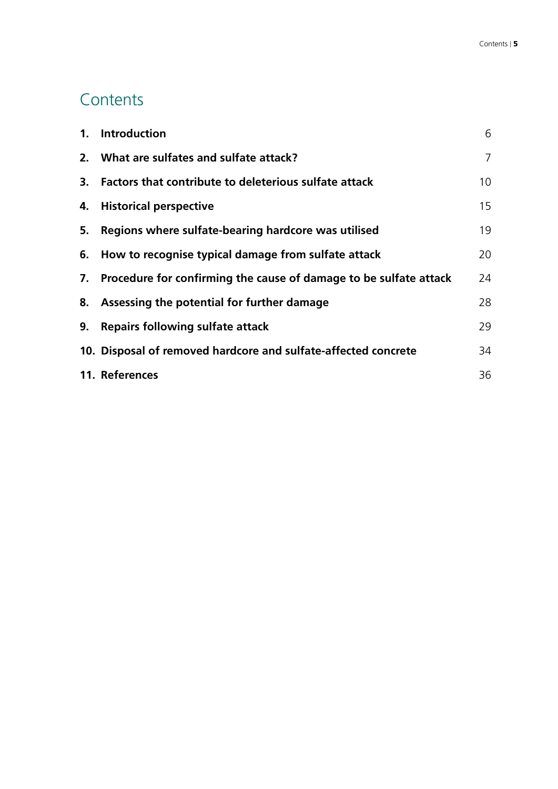## **Contents**

| 1. | <b>Introduction</b>                                                  | 6               |
|----|----------------------------------------------------------------------|-----------------|
|    | 2. What are sulfates and sulfate attack?                             | $\overline{7}$  |
| 3. | Factors that contribute to deleterious sulfate attack                | 10 <sup>°</sup> |
|    | 4. Historical perspective                                            | 15              |
| 5. | Regions where sulfate-bearing hardcore was utilised                  | 19              |
|    | 6. How to recognise typical damage from sulfate attack               | 20              |
|    | 7. Procedure for confirming the cause of damage to be sulfate attack | 24              |
|    | 8. Assessing the potential for further damage                        | 28              |
| 9. | <b>Repairs following sulfate attack</b>                              | 29              |
|    | 10. Disposal of removed hardcore and sulfate-affected concrete       | 34              |
|    | 11. References                                                       | 36              |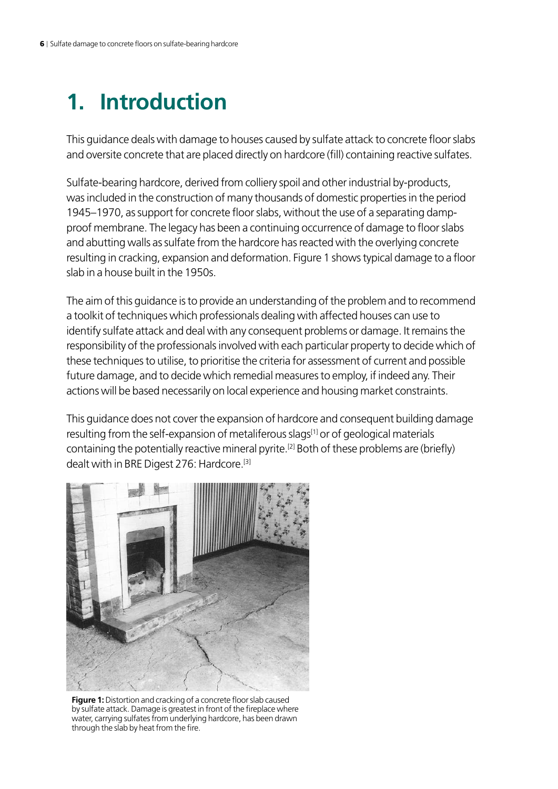## <span id="page-7-0"></span>**1. Introduction**

This guidance deals with damage to houses caused by sulfate attack to concrete floor slabs and oversite concrete that are placed directly on hardcore (fill) containing reactive sulfates.

Sulfate-bearing hardcore, derived from colliery spoil and other industrial by-products, was included in the construction of many thousands of domestic properties in the period 1945–1970, as support for concrete floor slabs, without the use of a separating dampproof membrane. The legacy has been a continuing occurrence of damage to floor slabs and abutting walls as sulfate from the hardcore has reacted with the overlying concrete resulting in cracking, expansion and deformation. Figure 1 shows typical damage to a floor slab in a house built in the 1950s.

The aim of this guidance is to provide an understanding of the problem and to recommend a toolkit of techniques which professionals dealing with affected houses can use to identify sulfate attack and deal with any consequent problems or damage. It remains the responsibility of the professionals involved with each particular property to decide which of these techniques to utilise, to prioritise the criteria for assessment of current and possible future damage, and to decide which remedial measures to employ, if indeed any. Their actions will be based necessarily on local experience and housing market constraints.

This guidance does not cover the expansion of hardcore and consequent building damage resulting from the self-expansion of metaliferous slags<sup>[1]</sup> or of geological materials containing the potentially reactive mineral pyrite.[2] Both of these problems are (briefly) dealt with in BRE Digest 276: Hardcore.[3]



**Figure 1:** Distortion and cracking of a concrete floor slab caused by sulfate attack. Damage is greatest in front of the fireplace where water, carrying sulfates from underlying hardcore, has been drawn through the slab by heat from the fire.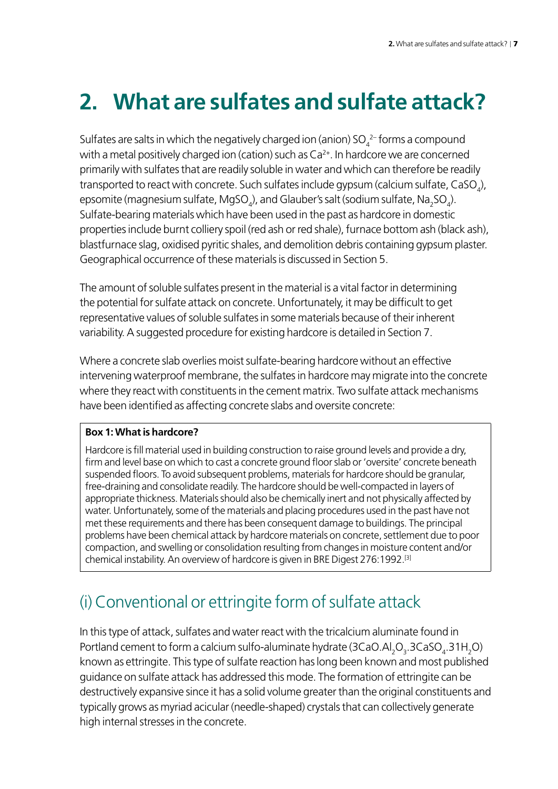# <span id="page-8-0"></span>**2. What are sulfates and sulfate attack?**

Sulfates are salts in which the negatively charged ion (anion) SO $_4^2$ -forms a compound with a metal positively charged ion (cation) such as  $Ca<sup>2+</sup>$ . In hardcore we are concerned primarily with sulfates that are readily soluble in water and which can therefore be readily transported to react with concrete. Such sulfates include gypsum (calcium sulfate, CaSO $_{\!{}_4}\!$ ), epsomite (magnesium sulfate, MgSO $_{\rm q}$ ), and Glauber's salt (sodium sulfate, Na $_{\rm 2}$ SO $_{\rm q}$ ). Sulfate-bearing materials which have been used in the past as hardcore in domestic properties include burnt colliery spoil (red ash or red shale), furnace bottom ash (black ash), blastfurnace slag, oxidised pyritic shales, and demolition debris containing gypsum plaster. Geographical occurrence of these materials is discussed in Section 5.

The amount of soluble sulfates present in the material is a vital factor in determining the potential for sulfate attack on concrete. Unfortunately, it may be difficult to get representative values of soluble sulfates in some materials because of their inherent variability. A suggested procedure for existing hardcore is detailed in Section 7.

Where a concrete slab overlies moist sulfate-bearing hardcore without an effective intervening waterproof membrane, the sulfates in hardcore may migrate into the concrete where they react with constituents in the cement matrix. Two sulfate attack mechanisms have been identified as affecting concrete slabs and oversite concrete:

#### **Box 1: What is hardcore?**

Hardcore is fill material used in building construction to raise ground levels and provide a dry, firm and level base on which to cast a concrete ground floor slab or 'oversite' concrete beneath suspended floors. To avoid subsequent problems, materials for hardcore should be granular, free-draining and consolidate readily. The hardcore should be well-compacted in layers of appropriate thickness. Materials should also be chemically inert and not physically affected by water. Unfortunately, some of the materials and placing procedures used in the past have not met these requirements and there has been consequent damage to buildings. The principal problems have been chemical attack by hardcore materials on concrete, settlement due to poor compaction, and swelling or consolidation resulting from changes in moisture content and/or chemical instability. An overview of hardcore is given in BRE Digest 276:1992.[3]

## (i) Conventional or ettringite form of sulfate attack

In this type of attack, sulfates and water react with the tricalcium aluminate found in Portland cement to form a calcium sulfo-aluminate hydrate (3CaO.Al $_{2}$ O $_{3}$ .3CaSO $_{4}$ .31H $_{2}$ O) known as ettringite. This type of sulfate reaction has long been known and most published guidance on sulfate attack has addressed this mode. The formation of ettringite can be destructively expansive since it has a solid volume greater than the original constituents and typically grows as myriad acicular (needle-shaped) crystals that can collectively generate high internal stresses in the concrete.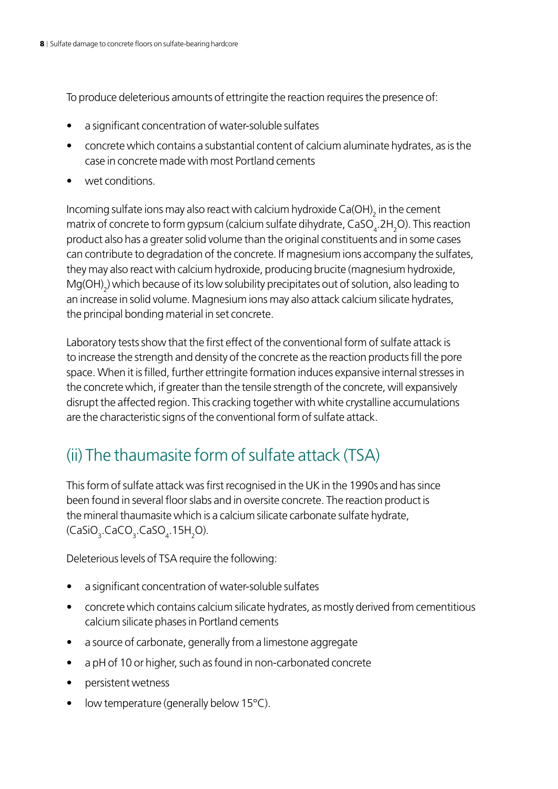To produce deleterious amounts of ettringite the reaction requires the presence of:

- a significant concentration of water-soluble sulfates
- concrete which contains a substantial content of calcium aluminate hydrates, as is the case in concrete made with most Portland cements
- wet conditions.

Incoming sulfate ions may also react with calcium hydroxide Ca(OH) $_{\rm 2}$  in the cement matrix of concrete to form gypsum (calcium sulfate dihydrate,  $\text{CaSO}_4$ .2H<sub>2</sub>O). This reaction product also has a greater solid volume than the original constituents and in some cases can contribute to degradation of the concrete. If magnesium ions accompany the sulfates, they may also react with calcium hydroxide, producing brucite (magnesium hydroxide,  $\mathsf{Mg(OH)}_2$ ) which because of its low solubility precipitates out of solution, also leading to an increase in solid volume. Magnesium ions may also attack calcium silicate hydrates, the principal bonding material in set concrete.

Laboratory tests show that the first effect of the conventional form of sulfate attack is to increase the strength and density of the concrete as the reaction products fill the pore space. When it is filled, further ettringite formation induces expansive internal stresses in the concrete which, if greater than the tensile strength of the concrete, will expansively disrupt the affected region. This cracking together with white crystalline accumulations are the characteristic signs of the conventional form of sulfate attack.

## (ii) The thaumasite form of sulfate attack (TSA)

This form of sulfate attack was first recognised in the UK in the 1990s and has since been found in several floor slabs and in oversite concrete. The reaction product is the mineral thaumasite which is a calcium silicate carbonate sulfate hydrate,  $\langle$ CaSiO $_{3}$ .CaCO $_{3}$ .CaSO $_{4}$ .15H $_{2}$ O).

Deleterious levels of TSA require the following:

- a significant concentration of water-soluble sulfates
- concrete which contains calcium silicate hydrates, as mostly derived from cementitious calcium silicate phases in Portland cements
- a source of carbonate, generally from a limestone aggregate
- a pH of 10 or higher, such as found in non-carbonated concrete
- • persistent wetness
- low temperature (generally below  $15^{\circ}$ C).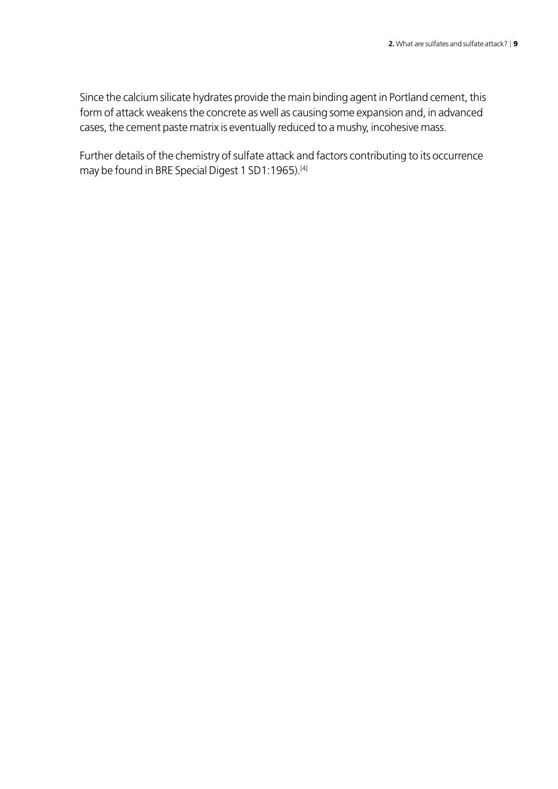Since the calcium silicate hydrates provide the main binding agent in Portland cement, this form of attack weakens the concrete as well as causing some expansion and, in advanced cases, the cement paste matrix is eventually reduced to a mushy, incohesive mass.

Further details of the chemistry of sulfate attack and factors contributing to its occurrence may be found in BRE Special Digest 1 SD1:1965).[4]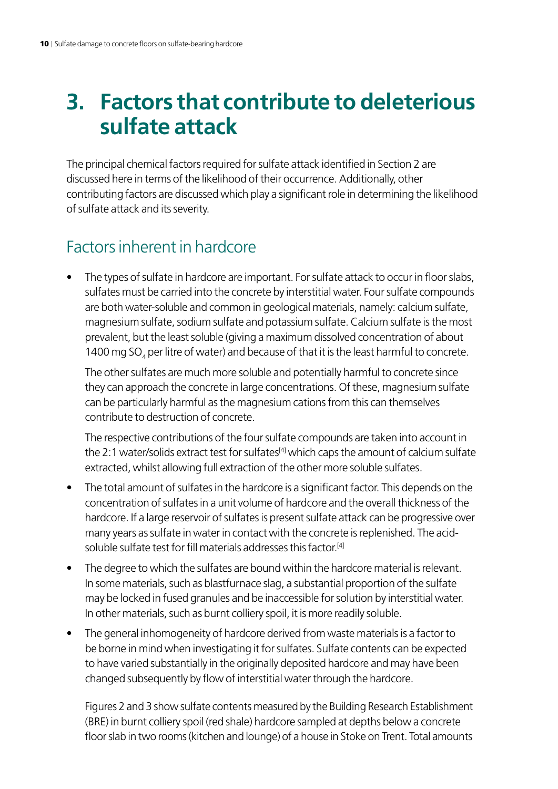## <span id="page-11-0"></span>**3. Factors that contribute to deleterious sulfate attack**

The principal chemical factors required for sulfate attack identified in Section 2 are discussed here in terms of the likelihood of their occurrence. Additionally, other contributing factors are discussed which play a significant role in determining the likelihood of sulfate attack and its severity.

### Factors inherent in hardcore

The types of sulfate in hardcore are important. For sulfate attack to occur in floor slabs, sulfates must be carried into the concrete by interstitial water. Four sulfate compounds are both water-soluble and common in geological materials, namely: calcium sulfate, magnesium sulfate, sodium sulfate and potassium sulfate. Calcium sulfate is the most prevalent, but the least soluble (giving a maximum dissolved concentration of about 1400 mg SO<sub>4</sub> per litre of water) and because of that it is the least harmful to concrete.

The other sulfates are much more soluble and potentially harmful to concrete since they can approach the concrete in large concentrations. Of these, magnesium sulfate can be particularly harmful as the magnesium cations from this can themselves contribute to destruction of concrete.

The respective contributions of the four sulfate compounds are taken into account in the 2:1 water/solids extract test for sulfates<sup>[4]</sup> which caps the amount of calcium sulfate extracted, whilst allowing full extraction of the other more soluble sulfates.

- The total amount of sulfates in the hardcore is a significant factor. This depends on the concentration of sulfates in a unit volume of hardcore and the overall thickness of the hardcore. If a large reservoir of sulfates is present sulfate attack can be progressive over many years as sulfate in water in contact with the concrete is replenished. The acidsoluble sulfate test for fill materials addresses this factor<sup>[4]</sup>
- The degree to which the sulfates are bound within the hardcore material is relevant. In some materials, such as blastfurnace slag, a substantial proportion of the sulfate may be locked in fused granules and be inaccessible for solution by interstitial water. In other materials, such as burnt colliery spoil, it is more readily soluble.
- The general inhomogeneity of hardcore derived from waste materials is a factor to be borne in mind when investigating it for sulfates. Sulfate contents can be expected to have varied substantially in the originally deposited hardcore and may have been changed subsequently by flow of interstitial water through the hardcore.

Figures 2 and 3 show sulfate contents measured by the Building Research Establishment (BRE) in burnt colliery spoil (red shale) hardcore sampled at depths below a concrete floor slab in two rooms (kitchen and lounge) of a house in Stoke on Trent. Total amounts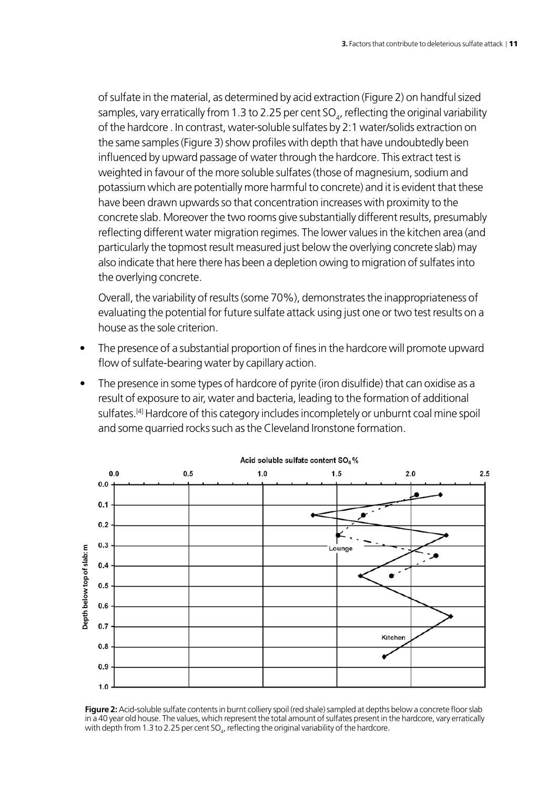of sulfate in the material, as determined by acid extraction (Figure 2) on handful sized samples, vary erratically from 1.3 to 2.25 per cent SO $_{\!}$ , reflecting the original variability of the hardcore . In contrast, water-soluble sulfates by 2:1 water/solids extraction on the same samples (Figure 3) show profiles with depth that have undoubtedly been influenced by upward passage of water through the hardcore. This extract test is weighted in favour of the more soluble sulfates (those of magnesium, sodium and potassium which are potentially more harmful to concrete) and it is evident that these have been drawn upwards so that concentration increases with proximity to the concrete slab. Moreover the two rooms give substantially different results, presumably reflecting different water migration regimes. The lower values in the kitchen area (and particularly the topmost result measured just below the overlying concrete slab) may also indicate that here there has been a depletion owing to migration of sulfates into the overlying concrete.

Overall, the variability of results (some 70%), demonstrates the inappropriateness of evaluating the potential for future sulfate attack using just one or two test results on a house as the sole criterion.

- The presence of a substantial proportion of fines in the hardcore will promote upward flow of sulfate-bearing water by capillary action.
- The presence in some types of hardcore of pyrite (iron disulfide) that can oxidise as a result of exposure to air, water and bacteria, leading to the formation of additional sulfates.<sup>[4]</sup> Hardcore of this category includes incompletely or unburnt coal mine spoil and some quarried rocks such as the Cleveland Ironstone formation.



**Figure 2:** Acid-soluble sulfate contents in burnt colliery spoil (red shale) sampled at depths below a concrete floor slab in a 40 year old house. The values, which represent the total amount of sulfates present in the hardcore, vary erratically with depth from 1.3 to 2.25 per cent SO $_{\rm q}$ , reflecting the original variability of the hardcore.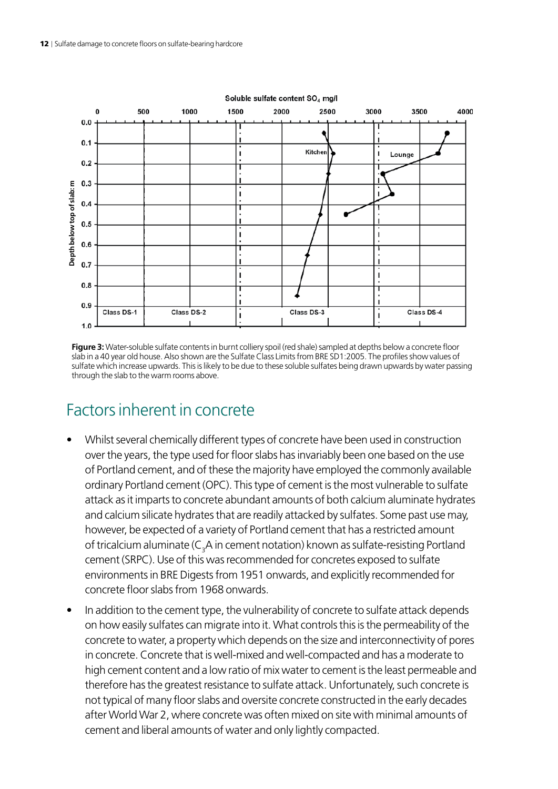

**Figure 3:** Water-soluble sulfate contents in burnt colliery spoil (red shale) sampled at depths below a concrete floor slab in a 40 year old house. Also shown are the Sulfate Class Limits from BRE SD1:2005. The profiles show values of sulfate which increase upwards. This is likely to be due to these soluble sulfates being drawn upwards by water passing through the slab to the warm rooms above.

### Factors inherent in concrete

- Whilst several chemically different types of concrete have been used in construction over the years, the type used for floor slabs has invariably been one based on the use of Portland cement, and of these the majority have employed the commonly available ordinary Portland cement (OPC). This type of cement is the most vulnerable to sulfate attack as it imparts to concrete abundant amounts of both calcium aluminate hydrates and calcium silicate hydrates that are readily attacked by sulfates. Some past use may, however, be expected of a variety of Portland cement that has a restricted amount of tricalcium aluminate (C<sub>3</sub>A in cement notation) known as sulfate-resisting Portland cement (SRPC). Use of this was recommended for concretes exposed to sulfate environments in BRE Digests from 1951 onwards, and explicitly recommended for concrete floor slabs from 1968 onwards.
- In addition to the cement type, the vulnerability of concrete to sulfate attack depends on how easily sulfates can migrate into it. What controls this is the permeability of the concrete to water, a property which depends on the size and interconnectivity of pores in concrete. Concrete that is well-mixed and well-compacted and has a moderate to high cement content and a low ratio of mix water to cement is the least permeable and therefore has the greatest resistance to sulfate attack. Unfortunately, such concrete is not typical of many floor slabs and oversite concrete constructed in the early decades after World War 2, where concrete was often mixed on site with minimal amounts of cement and liberal amounts of water and only lightly compacted.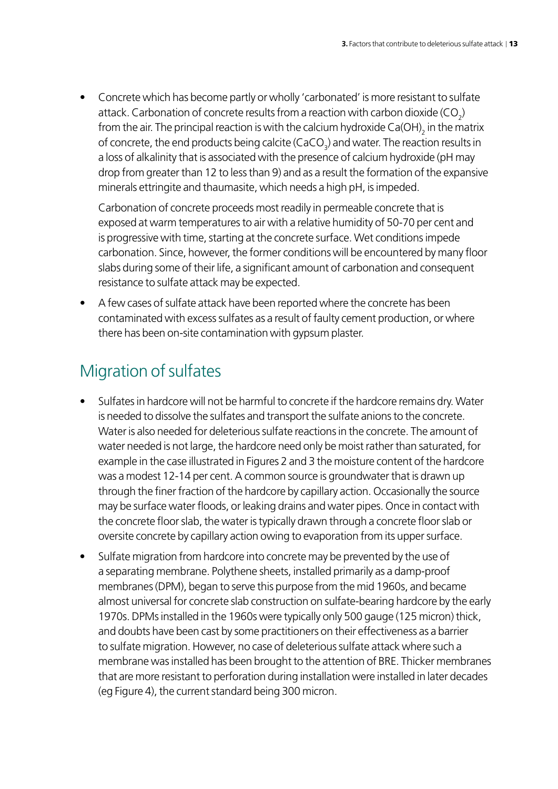Concrete which has become partly or wholly 'carbonated' is more resistant to sulfate attack. Carbonation of concrete results from a reaction with carbon dioxide (CO<sub>2</sub>) from the air. The principal reaction is with the calcium hydroxide Ca(OH) $_{\rm 2}$  in the matrix of concrete, the end products being calcite (CaCO<sub>3</sub>) and water. The reaction results in a loss of alkalinity that is associated with the presence of calcium hydroxide (pH may drop from greater than 12 to less than 9) and as a result the formation of the expansive minerals ettringite and thaumasite, which needs a high pH, is impeded.

Carbonation of concrete proceeds most readily in permeable concrete that is exposed at warm temperatures to air with a relative humidity of 50-70 per cent and is progressive with time, starting at the concrete surface. Wet conditions impede carbonation. Since, however, the former conditions will be encountered by many floor slabs during some of their life, a significant amount of carbonation and consequent resistance to sulfate attack may be expected.

• A few cases of sulfate attack have been reported where the concrete has been contaminated with excess sulfates as a result of faulty cement production, or where there has been on-site contamination with gypsum plaster.

## Migration of sulfates

- Sulfates in hardcore will not be harmful to concrete if the hardcore remains dry. Water is needed to dissolve the sulfates and transport the sulfate anions to the concrete. Water is also needed for deleterious sulfate reactions in the concrete. The amount of water needed is not large, the hardcore need only be moist rather than saturated, for example in the case illustrated in Figures 2 and 3 the moisture content of the hardcore was a modest 12-14 per cent. A common source is groundwater that is drawn up through the finer fraction of the hardcore by capillary action. Occasionally the source may be surface water floods, or leaking drains and water pipes. Once in contact with the concrete floor slab, the water is typically drawn through a concrete floor slab or oversite concrete by capillary action owing to evaporation from its upper surface.
- Sulfate migration from hardcore into concrete may be prevented by the use of a separating membrane. Polythene sheets, installed primarily as a damp-proof membranes (DPM), began to serve this purpose from the mid 1960s, and became almost universal for concrete slab construction on sulfate-bearing hardcore by the early 1970s. DPMs installed in the 1960s were typically only 500 gauge (125 micron) thick, and doubts have been cast by some practitioners on their effectiveness as a barrier to sulfate migration. However, no case of deleterious sulfate attack where such a membrane was installed has been brought to the attention of BRE. Thicker membranes that are more resistant to perforation during installation were installed in later decades (eg Figure 4), the current standard being 300 micron.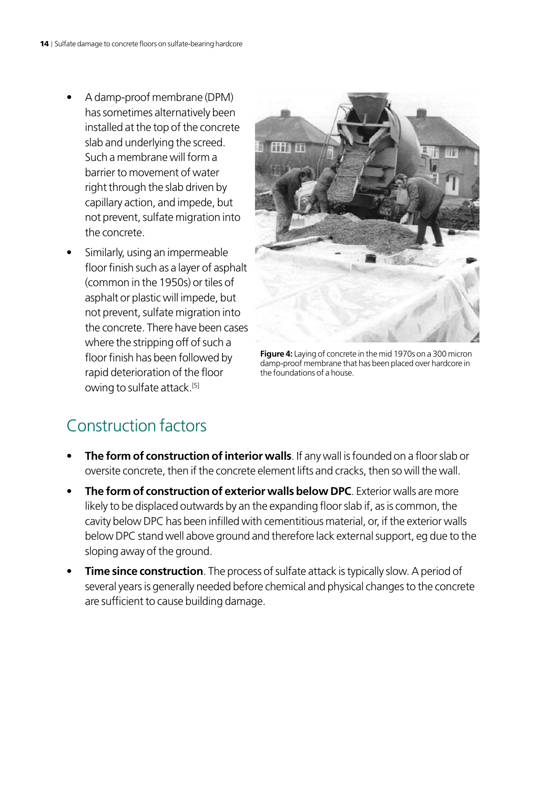- A damp-proof membrane (DPM) has sometimes alternatively been installed at the top of the concrete slab and underlying the screed. Such a membrane will form a barrier to movement of water right through the slab driven by capillary action, and impede, but not prevent, sulfate migration into the concrete.
- Similarly, using an impermeable floor finish such as a layer of asphalt (common in the 1950s) or tiles of asphalt or plastic will impede, but not prevent, sulfate migration into the concrete. There have been cases where the stripping off of such a floor finish has been followed by rapid deterioration of the floor owing to sulfate attack.<sup>[5]</sup>



**Figure 4:** Laying of concrete in the mid 1970s on a 300 micron damp-proof membrane that has been placed over hardcore in the foundations of a house.

### Construction factors

- **The form of construction of interior walls**. If any wall is founded on a floor slab or oversite concrete, then if the concrete element lifts and cracks, then so will the wall.
- **The form of construction of exterior walls below DPC**. Exterior walls are more likely to be displaced outwards by an the expanding floor slab if, as is common, the cavity below DPC has been infilled with cementitious material, or, if the exterior walls below DPC stand well above ground and therefore lack external support, eg due to the sloping away of the ground.
- **Time since construction**. The process of sulfate attack is typically slow. A period of several years is generally needed before chemical and physical changes to the concrete are sufficient to cause building damage.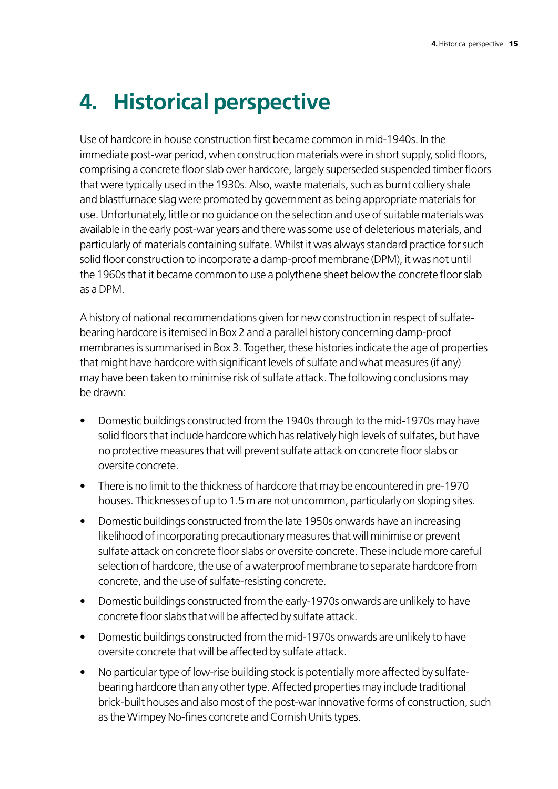## <span id="page-16-0"></span>**4. Historical perspective**

Use of hardcore in house construction first became common in mid-1940s. In the immediate post-war period, when construction materials were in short supply, solid floors, comprising a concrete floor slab over hardcore, largely superseded suspended timber floors that were typically used in the 1930s. Also, waste materials, such as burnt colliery shale and blastfurnace slag were promoted by government as being appropriate materials for use. Unfortunately, little or no guidance on the selection and use of suitable materials was available in the early post-war years and there was some use of deleterious materials, and particularly of materials containing sulfate. Whilst it was always standard practice for such solid floor construction to incorporate a damp-proof membrane (DPM), it was not until the 1960s that it became common to use a polythene sheet below the concrete floor slab as a DPM.

A history of national recommendations given for new construction in respect of sulfatebearing hardcore is itemised in Box 2 and a parallel history concerning damp-proof membranes is summarised in Box 3. Together, these histories indicate the age of properties that might have hardcore with significant levels of sulfate and what measures (if any) may have been taken to minimise risk of sulfate attack. The following conclusions may be drawn:

- Domestic buildings constructed from the 1940s through to the mid-1970s may have solid floors that include hardcore which has relatively high levels of sulfates, but have no protective measures that will prevent sulfate attack on concrete floor slabs or oversite concrete.
- There is no limit to the thickness of hardcore that may be encountered in pre-1970 houses. Thicknesses of up to 1.5 m are not uncommon, particularly on sloping sites.
- Domestic buildings constructed from the late 1950s onwards have an increasing likelihood of incorporating precautionary measures that will minimise or prevent sulfate attack on concrete floor slabs or oversite concrete. These include more careful selection of hardcore, the use of a waterproof membrane to separate hardcore from concrete, and the use of sulfate-resisting concrete.
- Domestic buildings constructed from the early-1970s onwards are unlikely to have concrete floor slabs that will be affected by sulfate attack.
- Domestic buildings constructed from the mid-1970s onwards are unlikely to have oversite concrete that will be affected by sulfate attack.
- No particular type of low-rise building stock is potentially more affected by sulfatebearing hardcore than any other type. Affected properties may include traditional brick-built houses and also most of the post-war innovative forms of construction, such as the Wimpey No-fines concrete and Cornish Units types.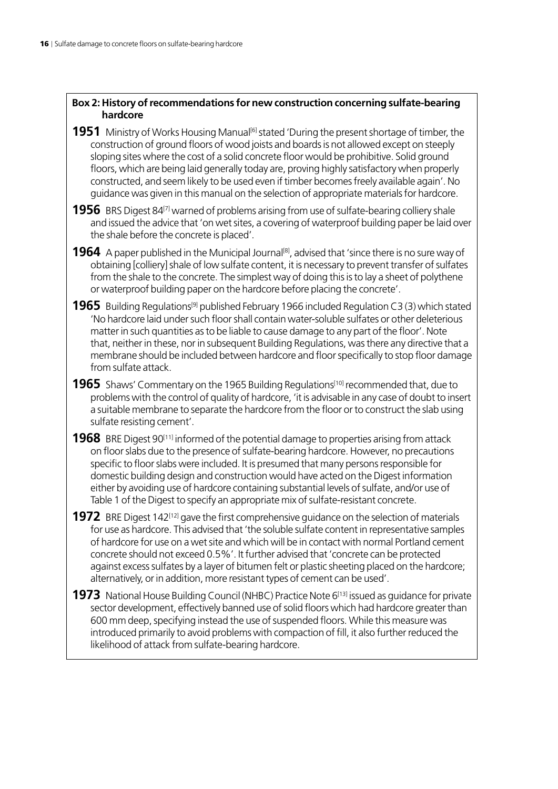#### **Box 2: History of recommendations for new construction concerning sulfate-bearing hardcore**

- **1951** Ministry of Works Housing Manual<sup>[6]</sup> stated 'During the present shortage of timber, the construction of ground floors of wood joists and boards is not allowed except on steeply sloping sites where the cost of a solid concrete floor would be prohibitive. Solid ground floors, which are being laid generally today are, proving highly satisfactory when properly constructed, and seem likely to be used even if timber becomes freely available again'. No guidance was given in this manual on the selection of appropriate materials for hardcore.
- **1956** BRS Digest 84<sup>[7]</sup> warned of problems arising from use of sulfate-bearing colliery shale and issued the advice that 'on wet sites, a covering of waterproof building paper be laid over the shale before the concrete is placed'.
- **1964** A paper published in the Municipal Journal<sup>[8]</sup>, advised that 'since there is no sure way of obtaining [colliery] shale of low sulfate content, it is necessary to prevent transfer of sulfates from the shale to the concrete. The simplest way of doing this is to lay a sheet of polythene or waterproof building paper on the hardcore before placing the concrete'.
- **1965** Building Regulations<sup>[9]</sup> published February 1966 included Regulation C3 (3) which stated 'No hardcore laid under such floor shall contain water-soluble sulfates or other deleterious matter in such quantities as to be liable to cause damage to any part of the floor'. Note that, neither in these, nor in subsequent Building Regulations, was there any directive that a membrane should be included between hardcore and floor specifically to stop floor damage from sulfate attack.
- **1965** Shaws' Commentary on the 1965 Building Regulations<sup>[10]</sup> recommended that, due to problems with the control of quality of hardcore, 'it is advisable in any case of doubt to insert a suitable membrane to separate the hardcore from the floor or to construct the slab using sulfate resisting cement'.
- **1968** BRE Digest 90<sup>[11]</sup> informed of the potential damage to properties arising from attack on floor slabs due to the presence of sulfate-bearing hardcore. However, no precautions specific to floor slabs were included. It is presumed that many persons responsible for domestic building design and construction would have acted on the Digest information either by avoiding use of hardcore containing substantial levels of sulfate, and/or use of Table 1 of the Digest to specify an appropriate mix of sulfate-resistant concrete.
- **1972** BRE Digest 142<sup>[12]</sup> gave the first comprehensive guidance on the selection of materials for use as hardcore. This advised that 'the soluble sulfate content in representative samples of hardcore for use on a wet site and which will be in contact with normal Portland cement concrete should not exceed 0.5%'. It further advised that 'concrete can be protected against excess sulfates by a layer of bitumen felt or plastic sheeting placed on the hardcore; alternatively, or in addition, more resistant types of cement can be used'.
- **1973** National House Building Council (NHBC) Practice Note 6<sup>[13]</sup> issued as guidance for private sector development, effectively banned use of solid floors which had hardcore greater than 600 mm deep, specifying instead the use of suspended floors. While this measure was introduced primarily to avoid problems with compaction of fill, it also further reduced the likelihood of attack from sulfate-bearing hardcore.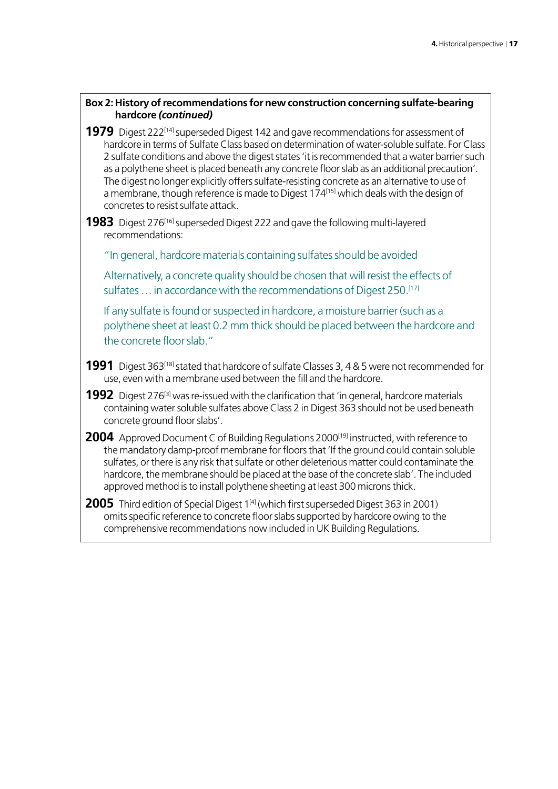#### **Box 2: History of recommendations for new construction concerning sulfate-bearing hardcore** *(continued)*

- **1979** Digest 222<sup>[14]</sup> superseded Digest 142 and gave recommendations for assessment of hardcore in terms of Sulfate Class based on determination of water-soluble sulfate. For Class 2 sulfate conditions and above the digest states 'it is recommended that a water barrier such as a polythene sheet is placed beneath any concrete floor slab as an additional precaution'. The digest no longer explicitly offers sulfate-resisting concrete as an alternative to use of a membrane, though reference is made to Digest 174[15] which deals with the design of concretes to resist sulfate attack.
- **1983** Digest 276<sup>[16]</sup> superseded Digest 222 and gave the following multi-layered recommendations:

"In general, hardcore materials containing sulfates should be avoided

Alternatively, a concrete quality should be chosen that will resist the effects of sulfates ... in accordance with the recommendations of Digest 250.<sup>[17]</sup>

If any sulfate is found or suspected in hardcore, a moisture barrier (such as a polythene sheet at least 0.2 mm thick should be placed between the hardcore and the concrete floor slab."

- **1991** Digest 363<sup>[18]</sup> stated that hardcore of sulfate Classes 3, 4 & 5 were not recommended for use, even with a membrane used between the fill and the hardcore.
- **1992** Digest 276<sup>[3]</sup> was re-issued with the clarification that 'in general, hardcore materials containing water soluble sulfates above Class 2 in Digest 363 should not be used beneath concrete ground floor slabs'.
- **2004** Approved Document C of Building Regulations 2000<sup>[19]</sup> instructed, with reference to the mandatory damp-proof membrane for floors that 'If the ground could contain soluble sulfates, or there is any risk that sulfate or other deleterious matter could contaminate the hardcore, the membrane should be placed at the base of the concrete slab'. The included approved method is to install polythene sheeting at least 300 microns thick.
- **2005** Third edition of Special Digest 1<sup>[4]</sup> (which first superseded Digest 363 in 2001) omits specific reference to concrete floor slabs supported by hardcore owing to the comprehensive recommendations now included in UK Building Regulations.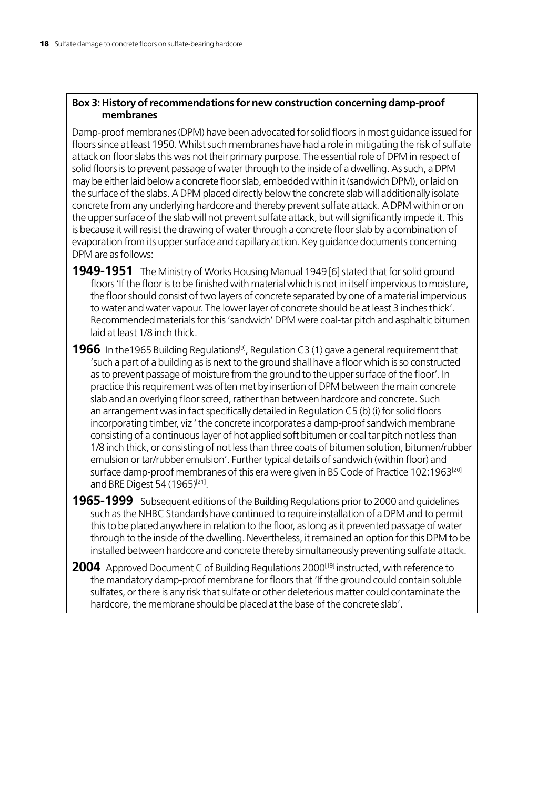#### **Box 3: History of recommendations for new construction concerning damp-proof membranes**

Damp-proof membranes (DPM) have been advocated for solid floors in most guidance issued for floors since at least 1950. Whilst such membranes have had a role in mitigating the risk of sulfate attack on floor slabs this was not their primary purpose. The essential role of DPM in respect of solid floors is to prevent passage of water through to the inside of a dwelling. As such, a DPM may be either laid below a concrete floor slab, embedded within it (sandwich DPM), or laid on the surface of the slabs. A DPM placed directly below the concrete slab will additionally isolate concrete from any underlying hardcore and thereby prevent sulfate attack. A DPM within or on the upper surface of the slab will not prevent sulfate attack, but will significantly impede it. This is because it will resist the drawing of water through a concrete floor slab by a combination of evaporation from its upper surface and capillary action. Key guidance documents concerning DPM are as follows:

**1949-1951** The Ministry of Works Housing Manual 1949 [6] stated that for solid ground floors 'If the floor is to be finished with material which is not in itself impervious to moisture, the floor should consist of two layers of concrete separated by one of a material impervious to water and water vapour. The lower layer of concrete should be at least 3 inches thick'. Recommended materials for this 'sandwich' DPM were coal-tar pitch and asphaltic bitumen laid at least 1/8 inch thick.

**1966** In the 1965 Building Regulations<sup>[9]</sup>, Regulation C3 (1) gave a general requirement that 'such a part of a building as is next to the ground shall have a floor which is so constructed as to prevent passage of moisture from the ground to the upper surface of the floor'. In practice this requirement was often met by insertion of DPM between the main concrete slab and an overlying floor screed, rather than between hardcore and concrete. Such an arrangement was in fact specifically detailed in Regulation C5 (b) (i) for solid floors incorporating timber, viz ' the concrete incorporates a damp-proof sandwich membrane consisting of a continuous layer of hot applied soft bitumen or coal tar pitch not less than 1/8 inch thick, or consisting of not less than three coats of bitumen solution, bitumen/rubber emulsion or tar/rubber emulsion'. Further typical details of sandwich (within floor) and surface damp-proof membranes of this era were given in BS Code of Practice 102:1963<sup>[20]</sup> and BRE Digest 54 (1965)<sup>[21]</sup>.

**1965-1999** Subsequent editions of the Building Regulations prior to 2000 and guidelines such as the NHBC Standards have continued to require installation of a DPM and to permit this to be placed anywhere in relation to the floor, as long as it prevented passage of water through to the inside of the dwelling. Nevertheless, it remained an option for this DPM to be installed between hardcore and concrete thereby simultaneously preventing sulfate attack.

**2004** Approved Document C of Building Regulations 2000<sup>[19]</sup> instructed, with reference to the mandatory damp-proof membrane for floors that 'If the ground could contain soluble sulfates, or there is any risk that sulfate or other deleterious matter could contaminate the hardcore, the membrane should be placed at the base of the concrete slab'.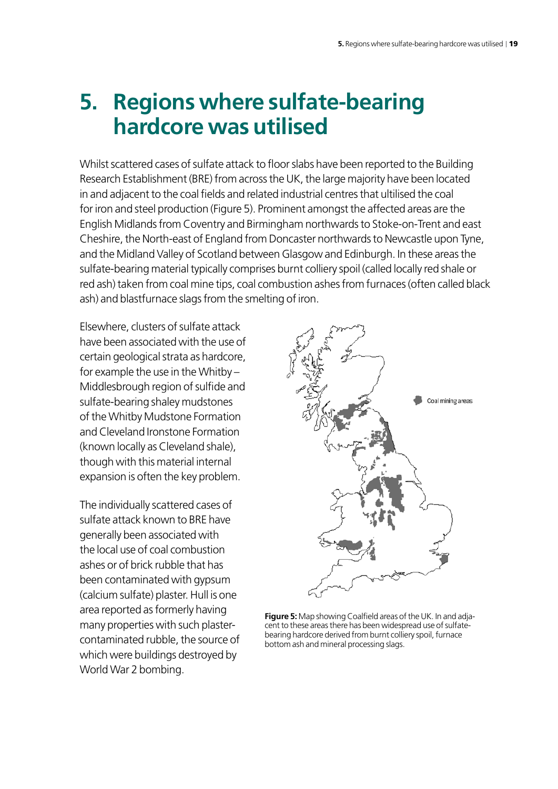## <span id="page-20-0"></span>**5. Regions where sulfate-bearing hardcore was utilised**

Whilst scattered cases of sulfate attack to floor slabs have been reported to the Building Research Establishment (BRE) from acrossthe UK, the large majority have been located in and adjacent to the coal fields and related industrial centres that ultilised the coal for iron and steel production (Figure 5). Prominent amongst the affected areas are the English Midlands from Coventry and Birmingham northwards to Stoke-on-Trent and east Cheshire, the North-east of England from Doncaster northwards to Newcastle upon Tyne, and the Midland Valley of Scotland between Glasgow and Edinburgh. In these areas the sulfate-bearing material typically comprises burnt colliery spoil (called locally red shale or red ash) taken from coal mine tips, coal combustion ashes from furnaces (often called black ash) and blastfurnace slags from the smelting of iron.

Elsewhere, clusters of sulfate attack have been associated with the use of certain geological strata as hardcore, for example the use in the Whitby – Middlesbrough region of sulfide and sulfate-bearing shaley mudstones of the Whitby Mudstone Formation and Cleveland Ironstone Formation (known locally as Cleveland shale), though with this material internal expansion is often the key problem.

The individually scattered cases of sulfate attack known to BRE have generally been associated with the local use of coal combustion ashes or of brick rubble that has been contaminated with gypsum (calcium sulfate) plaster. Hull is one area reported as formerly having many properties with such plastercontaminated rubble, the source of which were buildings destroyed by World War 2 bombing.



**Figure 5:** Map showing Coalfield areas of the UK. In and adjacent to these areas there has been widespread use of sulfatebearing hardcore derived from burnt colliery spoil, furnace bottom ash and mineral processing slags.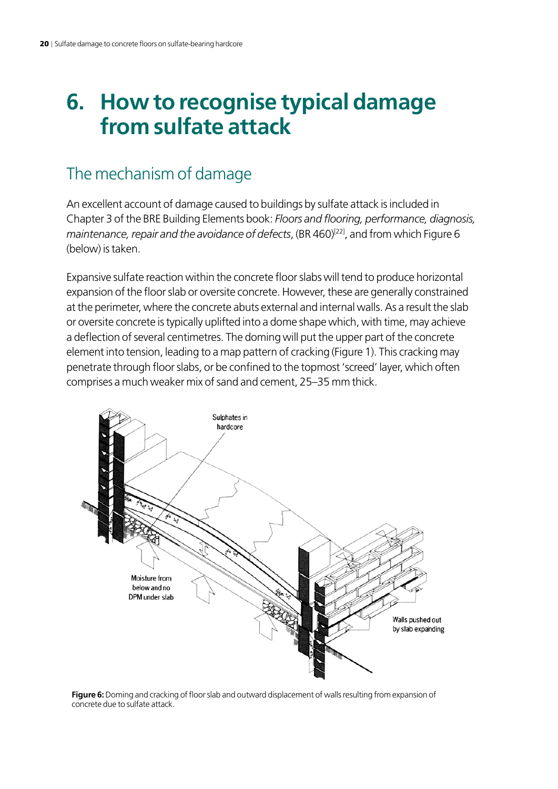## <span id="page-21-0"></span>**6. How to recognise typical damage from sulfate attack**

### The mechanism of damage

An excellent account of damage caused to buildings by sulfate attack is included in Chapter 3 of the BRE Building Elements book: *Floors and flooring, performance, diagnosis, maintenance, repair and the avoidance of defects*, (BR 460)<sup>[22]</sup>, and from which Figure 6 (below) is taken.

Expansive sulfate reaction within the concrete floor slabs will tend to produce horizontal expansion of the floor slab or oversite concrete. However, these are generally constrained at the perimeter, where the concrete abuts external and internal walls. As a result the slab or oversite concrete is typically uplifted into a dome shape which, with time, may achieve a deflection of several centimetres. The doming will put the upper part of the concrete element into tension, leading to a map pattern of cracking (Figure 1). This cracking may penetrate through floor slabs, or be confined to the topmost 'screed' layer, which often comprises a much weaker mix of sand and cement, 25–35 mm thick.



**Figure 6:** Doming and cracking of floor slab and outward displacement of walls resulting from expansion of concrete due to sulfate attack.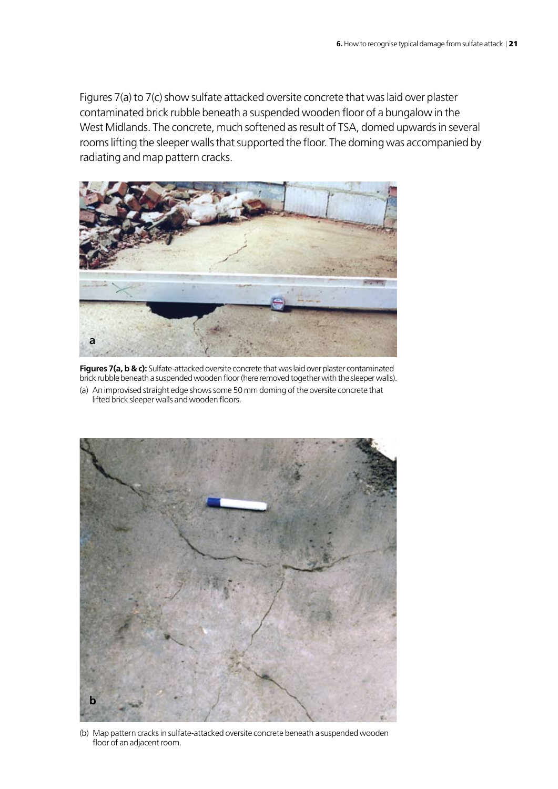Figures 7(a) to 7(c) show sulfate attacked oversite concrete that was laid over plaster contaminated brick rubble beneath a suspended wooden floor of a bungalow in the West Midlands. The concrete, much softened as result of TSA, domed upwards in several rooms lifting the sleeper walls that supported the floor. The doming was accompanied by radiating and map pattern cracks.



**Figures 7(a, b & c):** Sulfate-attacked oversite concrete that was laid over plaster contaminated brick rubble beneath a suspended wooden floor (here removed together with the sleeper walls). (a) An improvised straight edge shows some 50 mm doming of the oversite concrete that lifted brick sleeper walls and wooden floors.



(b) Map pattern cracks in sulfate-attacked oversite concrete beneath a suspended wooden floor of an adjacent room.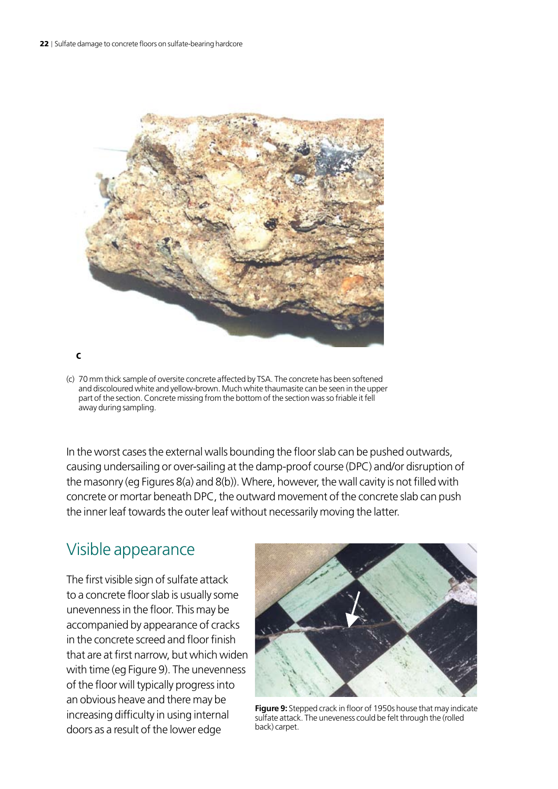

(c) 70 mm thick sample of oversite concrete affected by TSA. The concrete has been softened and discoloured white and yellow-brown. Much white thaumasite can be seen in the upper part of the section. Concrete missing from the bottom of the section was so friable it fell away during sampling.

In the worst cases the external walls bounding the floor slab can be pushed outwards, causing undersailing or over-sailing at the damp-proof course (DPC) and/or disruption of the masonry (eg Figures 8(a) and 8(b)). Where, however, the wall cavity is not filled with concrete or mortar beneath DPC, the outward movement of the concrete slab can push the inner leaf towards the outer leaf without necessarily moving the latter.

### Visible appearance

The first visible sign of sulfate attack to a concrete floor slab is usually some unevenness in the floor. This may be accompanied by appearance of cracks in the concrete screed and floor finish that are at first narrow, but which widen with time (eg Figure 9). The unevenness of the floor will typically progress into an obvious heave and there may be increasing difficulty in using internal doors as a result of the lower edge



**Figure 9:** Stepped crack in floor of 1950s house that may indicate sulfate attack. The uneveness could be felt through the (rolled back) carpet.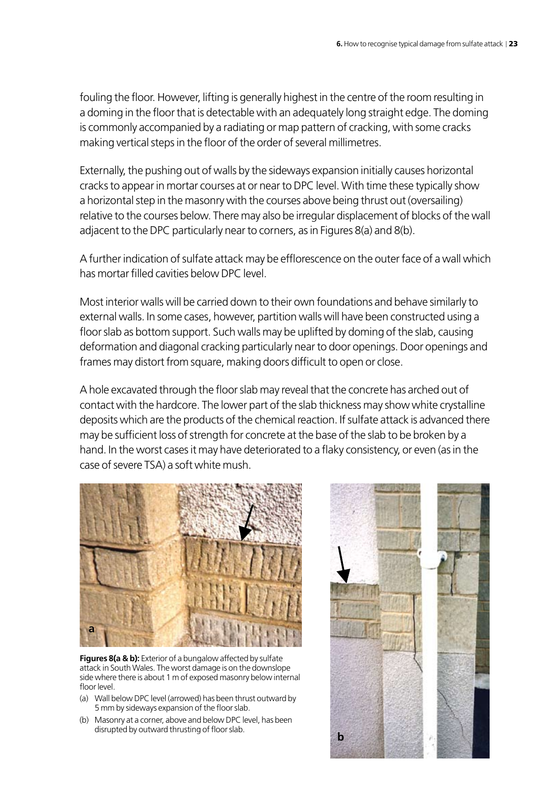fouling the floor. However, lifting is generally highest in the centre of the room resulting in a doming in the floor that is detectable with an adequately long straight edge. The doming is commonly accompanied by a radiating or map pattern of cracking, with some cracks making vertical steps in the floor of the order of several millimetres.

Externally, the pushing out of walls by the sideways expansion initially causes horizontal cracks to appear in mortar courses at or near to DPC level. With time these typically show a horizontal step in the masonry with the courses above being thrust out (oversailing) relative to the courses below. There may also be irregular displacement of blocks of the wall adjacent to the DPC particularly near to corners, as in Figures 8(a) and 8(b).

A further indication of sulfate attack may be efflorescence on the outer face of a wall which has mortar filled cavities below DPC level.

Most interior walls will be carried down to their own foundations and behave similarly to external walls. In some cases, however, partition walls will have been constructed using a floor slab as bottom support. Such walls may be uplifted by doming of the slab, causing deformation and diagonal cracking particularly near to door openings. Door openings and frames may distort from square, making doors difficult to open or close.

A hole excavated through the floor slab may reveal that the concrete has arched out of contact with the hardcore. The lower part of the slab thickness may show white crystalline deposits which are the products of the chemical reaction. If sulfate attack is advanced there may be sufficient loss of strength for concrete at the base of the slab to be broken by a hand. In the worst cases it may have deteriorated to a flaky consistency, or even (as in the case of severe TSA) a soft white mush.



**Figures 8(a & b):** Exterior of a bungalow affected by sulfate attack in South Wales. The worst damage is on the downslope side where there is about 1 m of exposed masonry below internal floor level.

- (a) Wall below DPC level (arrowed) has been thrust outward by 5 mm by sideways expansion of the floor slab.
- (b) Masonry at a corner, above and below DPC level, has been disrupted by outward thrusting of floor slab.

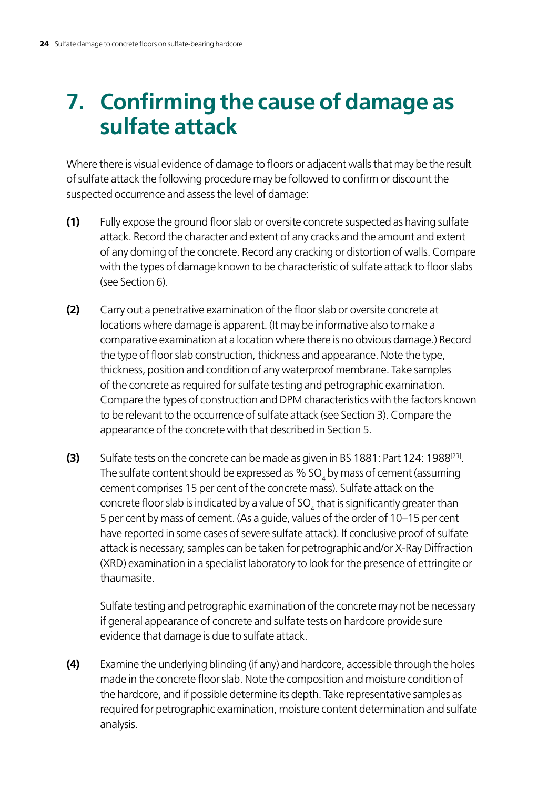## <span id="page-25-0"></span>**7. Confirming the cause of damage as sulfate attack**

Where there is visual evidence of damage to floors or adjacent walls that may be the result of sulfate attack the following procedure may be followed to confirm or discount the suspected occurrence and assess the level of damage:

- **(1)** Fully expose the ground floor slab or oversite concrete suspected as having sulfate attack. Record the character and extent of any cracks and the amount and extent of any doming of the concrete. Record any cracking or distortion of walls. Compare with the types of damage known to be characteristic of sulfate attack to floor slabs (see Section 6).
- **(2)** Carry out a penetrative examination of the floor slab or oversite concrete at locations where damage is apparent. (It may be informative also to make a comparative examination at a location where there is no obvious damage.) Record the type of floor slab construction, thickness and appearance. Note the type, thickness, position and condition of any waterproof membrane. Take samples of the concrete as required for sulfate testing and petrographic examination. Compare the types of construction and DPM characteristics with the factors known to be relevant to the occurrence of sulfate attack (see Section 3). Compare the appearance of the concrete with that described in Section 5.
- **(3)** Sulfate tests on the concrete can be made as given in BS 1881: Part 124: 1988<sup>[23]</sup>. The sulfate content should be expressed as  $\%$  SO $_{\rm 4}$  by mass of cement (assuming cement comprises 15 per cent of the concrete mass). Sulfate attack on the concrete floor slab is indicated by a value of SO<sub>4</sub> that is significantly greater than 5 per cent by mass of cement. (As a guide, values of the order of 10–15 per cent have reported in some cases of severe sulfate attack). If conclusive proof of sulfate attack is necessary, samples can be taken for petrographic and/or X-Ray Diffraction (XRD) examination in a specialist laboratory to look for the presence of ettringite or thaumasite.

 Sulfate testing and petrographic examination of the concrete may not be necessary if general appearance of concrete and sulfate tests on hardcore provide sure evidence that damage is due to sulfate attack.

**(4)** Examine the underlying blinding (if any) and hardcore, accessible through the holes made in the concrete floor slab. Note the composition and moisture condition of the hardcore, and if possible determine its depth. Take representative samples as required for petrographic examination, moisture content determination and sulfate analysis.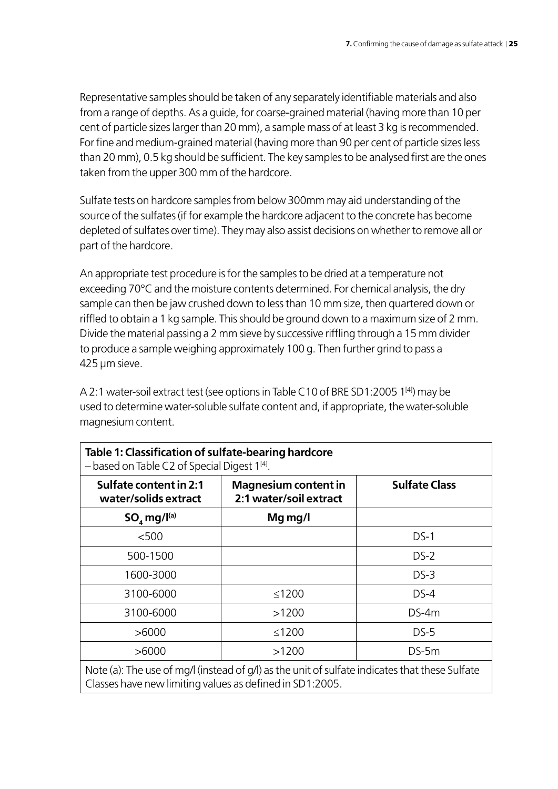Representative samples should be taken of any separately identifiable materials and also from a range of depths. As a guide, for coarse-grained material (having more than 10 per cent of particle sizes larger than 20 mm), a sample mass of at least 3 kg is recommended. For fine and medium-grained material (having more than 90 per cent of particle sizes less than 20 mm), 0.5 kg should be sufficient. The key samples to be analysed first are the ones taken from the upper 300 mm of the hardcore.

Sulfate tests on hardcore samples from below 300mm may aid understanding of the source of the sulfates (if for example the hardcore adjacent to the concrete has become depleted of sulfates over time). They may also assist decisions on whether to remove all or part of the hardcore.

An appropriate test procedure is for the samples to be dried at a temperature not exceeding 70°C and the moisture contents determined. For chemical analysis, the dry sample can then be jaw crushed down to less than 10 mm size, then quartered down or riffled to obtain a 1 kg sample. This should be ground down to a maximum size of 2 mm. Divide the material passing a 2 mm sieve by successive riffling through a 15 mm divider to produce a sample weighing approximately 100 g. Then further grind to pass a 425 µm sieve.

A 2:1 water-soil extract test (see options in Table C10 of BRE SD1:2005 1[4]) may be used to determine water-soluble sulfate content and, if appropriate, the water-soluble magnesium content.

| $-$ based on Table C2 of Special Digest $1[4]$ .                                               |                                                       |                      |  |  |
|------------------------------------------------------------------------------------------------|-------------------------------------------------------|----------------------|--|--|
| Sulfate content in 2:1<br>water/solids extract                                                 | <b>Magnesium content in</b><br>2:1 water/soil extract | <b>Sulfate Class</b> |  |  |
| $SO_{4}$ mg/l(a)                                                                               | Mg mg/l                                               |                      |  |  |
| < 500                                                                                          |                                                       | $DS-1$               |  |  |
| 500-1500                                                                                       |                                                       | $DS-2$               |  |  |
| 1600-3000                                                                                      |                                                       | $DS-3$               |  |  |
| 3100-6000                                                                                      | $≤1200$                                               | $DS-4$               |  |  |
| 3100-6000                                                                                      | >1200                                                 | $DS-4m$              |  |  |
| >6000                                                                                          | ≤1200                                                 | $DS-5$               |  |  |
| >6000                                                                                          | >1200                                                 | $DS-5m$              |  |  |
| Note (a): The use of mg/l (instead of g/l) as the unit of sulfate indicates that these Sulfate |                                                       |                      |  |  |

**Table 1: Classification of sulfate-bearing hardcore**

Classes have new limiting values as defined in SD1:2005.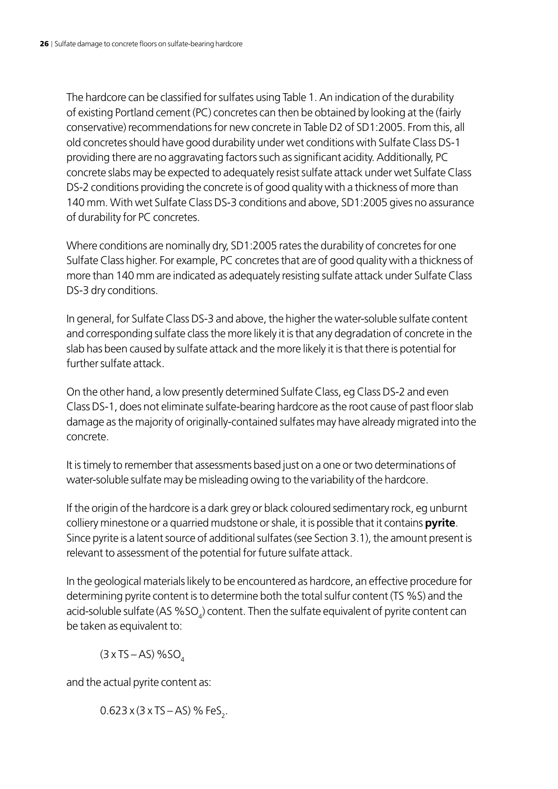The hardcore can be classified for sulfates using Table 1. An indication of the durability of existing Portland cement (PC) concretes can then be obtained by looking at the (fairly conservative) recommendations for new concrete in Table D2 of SD1:2005. From this, all old concretes should have good durability under wet conditions with Sulfate Class DS-1 providing there are no aggravating factors such as significant acidity. Additionally, PC concrete slabs may be expected to adequately resist sulfate attack under wet Sulfate Class DS-2 conditions providing the concrete is of good quality with a thickness of more than 140 mm. With wet Sulfate Class DS-3 conditions and above, SD1:2005 gives no assurance of durability for PC concretes.

Where conditions are nominally dry, SD1:2005 rates the durability of concretes for one Sulfate Class higher. For example, PC concretes that are of good quality with a thickness of more than 140 mm are indicated as adequately resisting sulfate attack under Sulfate Class DS-3 dry conditions.

In general, for Sulfate Class DS-3 and above, the higher the water-soluble sulfate content and corresponding sulfate class the more likely it is that any degradation of concrete in the slab has been caused by sulfate attack and the more likely it is that there is potential for further sulfate attack.

On the other hand, a low presently determined Sulfate Class, eg Class DS-2 and even Class DS-1, does not eliminate sulfate-bearing hardcore as the root cause of past floor slab damage as the majority of originally-contained sulfates may have already migrated into the concrete.

It is timely to remember that assessments based just on a one or two determinations of water-soluble sulfate may be misleading owing to the variability of the hardcore.

If the origin of the hardcore is a dark grey or black coloured sedimentary rock, eg unburnt colliery minestone or a quarried mudstone or shale, it is possible that it contains **pyrite**. Since pyrite is a latent source of additional sulfates (see Section 3.1), the amount present is relevant to assessment of the potential for future sulfate attack.

In the geological materials likely to be encountered as hardcore, an effective procedure for determining pyrite content is to determine both the total sulfur content (TS %S) and the acid-soluble sulfate (AS  $\%$ SO $_{\textrm{\tiny{d}}}$ ) content. Then the sulfate equivalent of pyrite content can be taken as equivalent to:

 $(3 \times TS - AS)$  %SO

and the actual pyrite content as:

0.623 x (3 x TS – AS) % FeS<sub>2</sub>.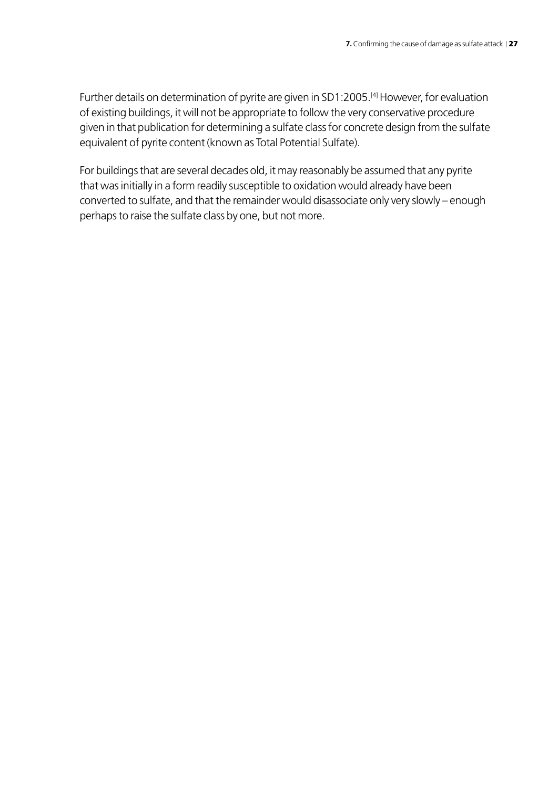Further details on determination of pyrite are given in SD1:2005.[4] However, for evaluation of existing buildings, it will not be appropriate to follow the very conservative procedure given in that publication for determining a sulfate class for concrete design from the sulfate equivalent of pyrite content (known as Total Potential Sulfate).

For buildings that are several decades old, it may reasonably be assumed that any pyrite that was initially in a form readily susceptible to oxidation would already have been converted to sulfate, and that the remainder would disassociate only very slowly – enough perhaps to raise the sulfate class by one, but not more.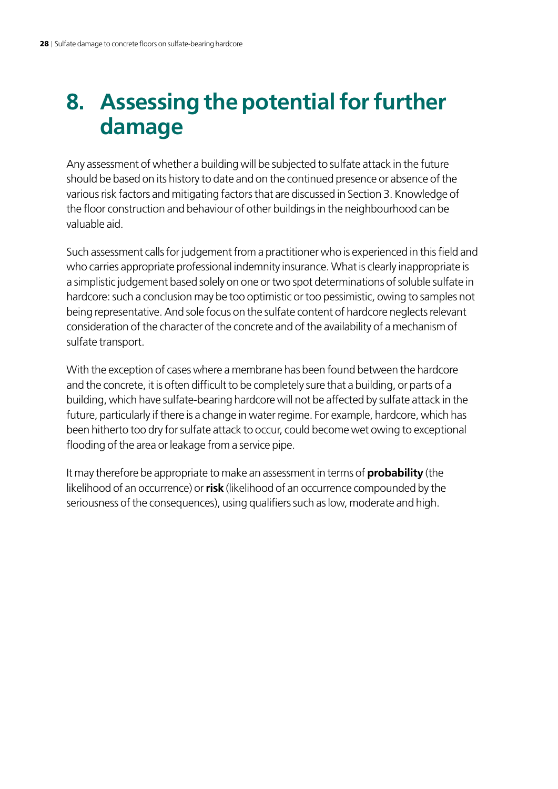## <span id="page-29-0"></span>**8. Assessing the potential for further damage**

Any assessment of whether a building will be subjected to sulfate attack in the future should be based on its history to date and on the continued presence or absence of the various risk factors and mitigating factors that are discussed in Section 3. Knowledge of the floor construction and behaviour of other buildings in the neighbourhood can be valuable aid.

Such assessment calls for judgement from a practitioner who is experienced in this field and who carries appropriate professional indemnity insurance. What is clearly inappropriate is a simplistic judgement based solely on one or two spot determinations of soluble sulfate in hardcore: such a conclusion may be too optimistic or too pessimistic, owing to samples not being representative. And sole focus on the sulfate content of hardcore neglects relevant consideration of the character of the concrete and of the availability of a mechanism of sulfate transport.

With the exception of cases where a membrane has been found between the hardcore and the concrete, it is often difficult to be completely sure that a building, or parts of a building, which have sulfate-bearing hardcore will not be affected by sulfate attack in the future, particularly if there is a change in water regime. For example, hardcore, which has been hitherto too dry for sulfate attack to occur, could become wet owing to exceptional flooding of the area or leakage from a service pipe.

It may therefore be appropriate to make an assessment in terms of **probability** (the likelihood of an occurrence) or **risk** (likelihood of an occurrence compounded by the seriousness of the consequences), using qualifiers such as low, moderate and high.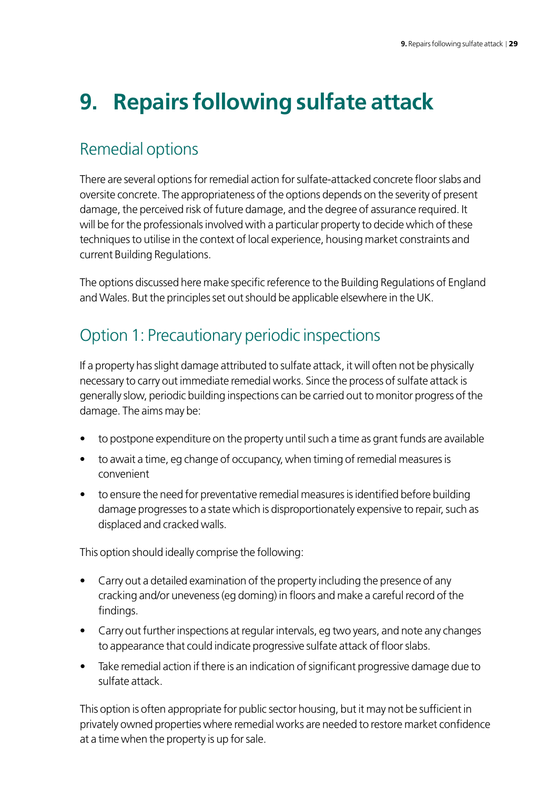# <span id="page-30-0"></span>**9. Repairs following sulfate attack**

### Remedial options

There are several options for remedial action for sulfate-attacked concrete floor slabs and oversite concrete. The appropriateness of the options depends on the severity of present damage, the perceived risk of future damage, and the degree of assurance required. It will be for the professionals involved with a particular property to decide which of these techniques to utilise in the context of local experience, housing market constraints and current Building Regulations.

The options discussed here make specific reference to the Building Regulations of England and Wales. But the principles set out should be applicable elsewhere in the UK.

## Option 1: Precautionary periodic inspections

If a property has slight damage attributed to sulfate attack, it will often not be physically necessary to carry out immediate remedial works. Since the process of sulfate attack is generally slow, periodic building inspections can be carried out to monitor progress of the damage. The aims may be:

- to postpone expenditure on the property until such a time as grant funds are available
- to await a time, eg change of occupancy, when timing of remedial measures is convenient
- to ensure the need for preventative remedial measures is identified before building damage progresses to a state which is disproportionately expensive to repair, such as displaced and cracked walls.

This option should ideally comprise the following:

- Carry out a detailed examination of the property including the presence of any cracking and/or uneveness (eg doming) in floors and make a careful record of the findings.
- Carry out further inspections at regular intervals, eg two years, and note any changes to appearance that could indicate progressive sulfate attack of floor slabs.
- Take remedial action if there is an indication of significant progressive damage due to sulfate attack.

This option is often appropriate for public sector housing, but it may not be sufficient in privately owned properties where remedial works are needed to restore market confidence at a time when the property is up for sale.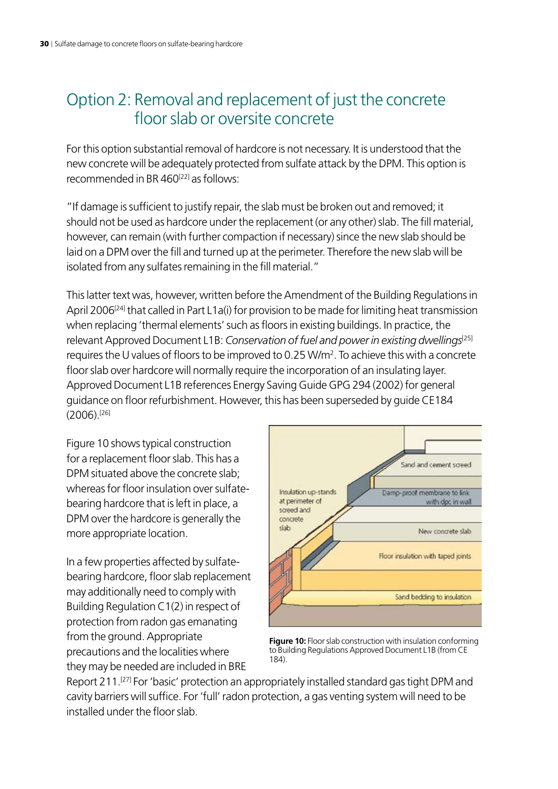### Option 2: Removal and replacement of just the concrete floor slab or oversite concrete

For this option substantial removal of hardcore is not necessary. It is understood that the new concrete will be adequately protected from sulfate attack by the DPM. This option is recommended in BR  $460^{[22]}$  as follows:

"If damage is sufficient to justify repair, the slab must be broken out and removed; it should not be used as hardcore under the replacement (or any other) slab. The fill material, however, can remain (with further compaction if necessary) since the new slab should be laid on a DPM over the fill and turned up at the perimeter. Therefore the new slab will be isolated from any sulfates remaining in the fill material."

This latter text was, however, written before the Amendment of the Building Regulations in April 2006<sup>[24]</sup> that called in Part L1a(i) for provision to be made for limiting heat transmission when replacing 'thermal elements' such as floors in existing buildings. In practice, the relevant Approved Document L1B: *Conservation of fuel and power in existing dwellings*<sup>[25]</sup> requires the U values of floors to be improved to 0.25 W/m<sup>2</sup>. To achieve this with a concrete floor slab over hardcore will normally require the incorporation of an insulating layer. Approved Document L1B references Energy Saving Guide GPG 294 (2002) for general guidance on floor refurbishment. However, this has been superseded by guide CE184 (2006).[26]

Figure 10 shows typical construction for a replacement floor slab. This has a DPM situated above the concrete slab; whereas for floor insulation over sulfatebearing hardcore that is left in place, a DPM over the hardcore is generally the more appropriate location.

In a few properties affected by sulfatebearing hardcore, floor slab replacement may additionally need to comply with Building Regulation C1(2) in respect of protection from radon gas emanating from the ground. Appropriate precautions and the localities where they may be needed are included in BRE



**Figure 10:** Floor slab construction with insulation conforming to Building Regulations Approved Document L1B (from CE 184).

Report 211.<sup>[27]</sup> For 'basic' protection an appropriately installed standard gas tight DPM and cavity barriers will suffice. For 'full' radon protection, a gas venting system will need to be installed under the floor slab.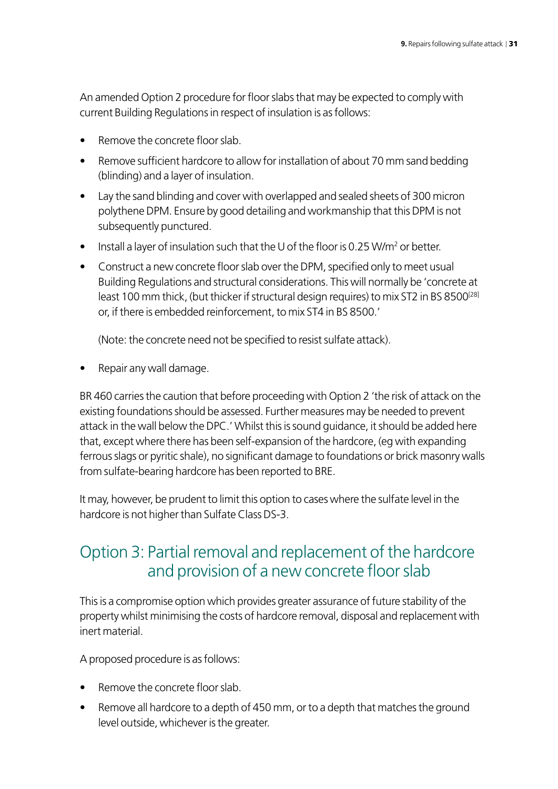An amended Option 2 procedure for floor slabs that may be expected to comply with current Building Regulations in respect of insulation is as follows:

- Remove the concrete floor slab.
- Remove sufficient hardcore to allow for installation of about 70 mm sand bedding (blinding) and a layer of insulation.
- Lay the sand blinding and cover with overlapped and sealed sheets of 300 micron polythene DPM. Ensure by good detailing and workmanship that this DPM is not subsequently punctured.
- $\bullet$  Install a layer of insulation such that the U of the floor is 0.25 W/m<sup>2</sup> or better.
- Construct a new concrete floor slab over the DPM, specified only to meet usual Building Regulations and structural considerations. This will normally be 'concrete at least 100 mm thick, (but thicker if structural design requires) to mix ST2 in BS 8500<sup>[28]</sup> or, if there is embedded reinforcement, to mix ST4 in BS 8500.'

(Note: the concrete need not be specified to resist sulfate attack).

• Repair any wall damage.

BR 460 carries the caution that before proceeding with Option 2 'the risk of attack on the existing foundations should be assessed. Further measures may be needed to prevent attack in the wall below the DPC.' Whilst this is sound guidance, it should be added here that, except where there has been self-expansion of the hardcore, (eg with expanding ferrous slags or pyritic shale), no significant damage to foundations or brick masonry walls from sulfate-bearing hardcore has been reported to BRE.

It may, however, be prudent to limit this option to cases where the sulfate level in the hardcore is not higher than Sulfate Class DS-3.

### Option 3: Partial removal and replacement of the hardcore and provision of a new concrete floor slab

This is a compromise option which provides greater assurance of future stability of the property whilst minimising the costs of hardcore removal, disposal and replacement with inert material.

A proposed procedure is as follows:

- Remove the concrete floor slab.
- Remove all hardcore to a depth of 450 mm, or to a depth that matches the ground level outside, whichever is the greater.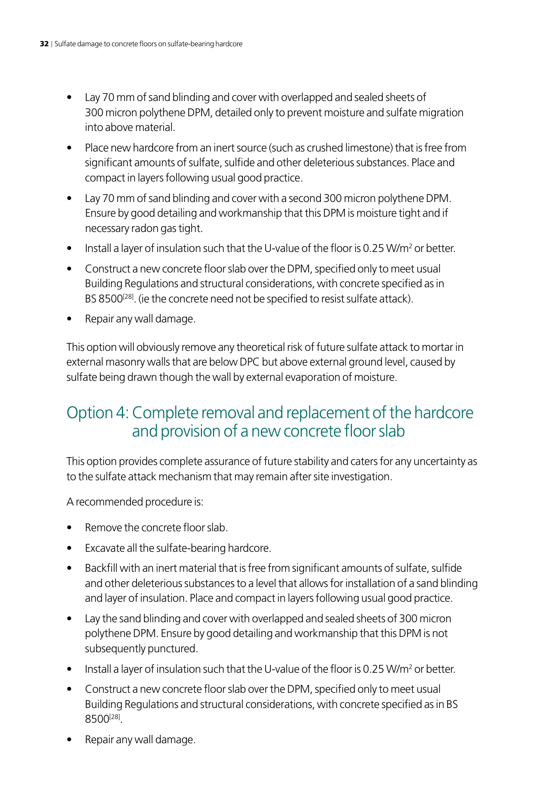- Lay 70 mm of sand blinding and cover with overlapped and sealed sheets of 300 micron polythene DPM, detailed only to prevent moisture and sulfate migration into above material.
- Place new hardcore from an inert source (such as crushed limestone) that is free from significant amounts of sulfate, sulfide and other deleterious substances. Place and compact in layers following usual good practice.
- Lay 70 mm of sand blinding and cover with a second 300 micron polythene DPM. Ensure by good detailing and workmanship that this DPM is moisture tight and if necessary radon gas tight.
- Install a layer of insulation such that the U-value of the floor is 0.25 W/m<sup>2</sup> or better.
- Construct a new concrete floor slab over the DPM, specified only to meet usual Building Regulations and structural considerations, with concrete specified as in BS 8500<sup>[28]</sup>. (ie the concrete need not be specified to resist sulfate attack).
- Repair any wall damage.

This option will obviously remove any theoretical risk of future sulfate attack to mortar in external masonry walls that are below DPC but above external ground level, caused by sulfate being drawn though the wall by external evaporation of moisture.

### Option 4: Complete removal and replacement of the hardcore and provision of a new concrete floor slab

This option provides complete assurance of future stability and caters for any uncertainty as to the sulfate attack mechanism that may remain after site investigation.

A recommended procedure is:

- Remove the concrete floor slab.
- Excavate all the sulfate-bearing hardcore.
- Backfill with an inert material that is free from significant amounts of sulfate, sulfide and other deleterious substances to a level that allows for installation of a sand blinding and layer of insulation. Place and compact in layers following usual good practice.
- Lay the sand blinding and cover with overlapped and sealed sheets of 300 micron polythene DPM. Ensure by good detailing and workmanship that this DPM is not subsequently punctured.
- Install a layer of insulation such that the U-value of the floor is 0.25 W/m<sup>2</sup> or better.
- Construct a new concrete floor slab over the DPM, specified only to meet usual Building Regulations and structural considerations, with concrete specified as in BS 8500[28].
- Repair any wall damage.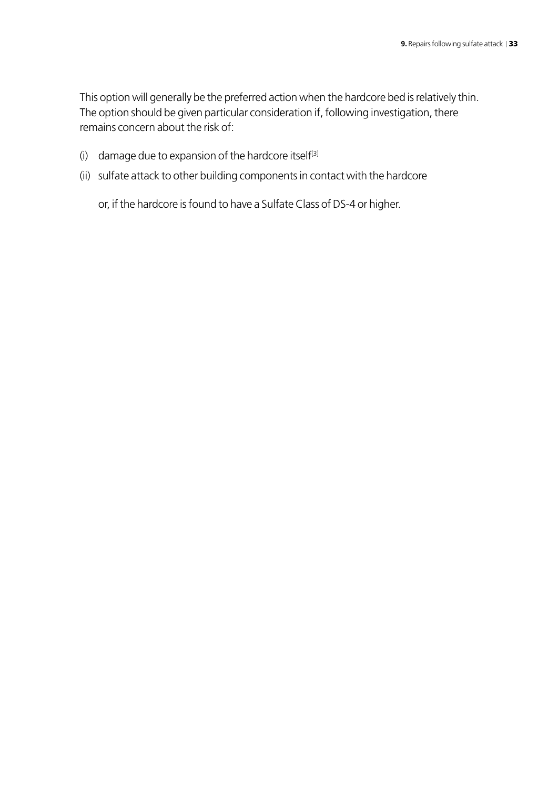This option will generally be the preferred action when the hardcore bed is relatively thin. The option should be given particular consideration if, following investigation, there remains concern about the risk of:

- (i) damage due to expansion of the hardcore itself<sup>[3]</sup>
- (ii) sulfate attack to other building components in contact with the hardcore

or, if the hardcore is found to have a Sulfate Class of DS-4 or higher.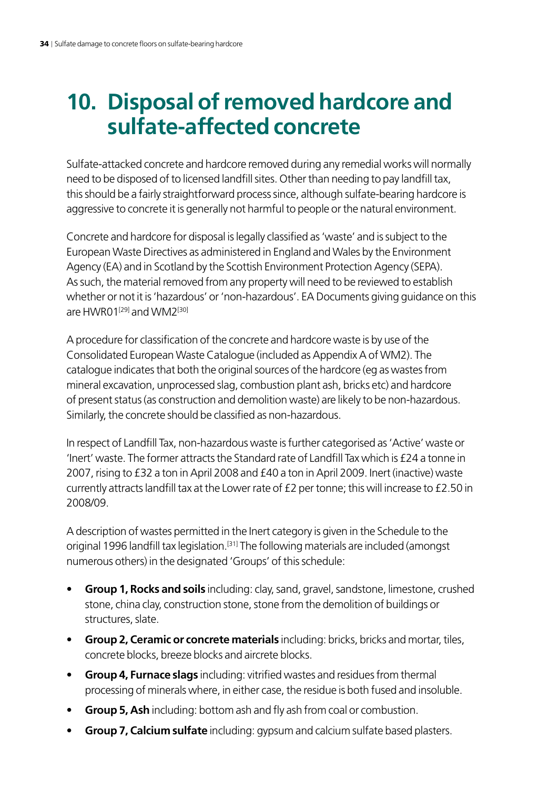## <span id="page-35-0"></span>**10. Disposal of removed hardcore and sulfate-affected concrete**

Sulfate-attacked concrete and hardcore removed during any remedial works will normally need to be disposed of to licensed landfill sites. Other than needing to pay landfill tax, this should be a fairly straightforward process since, although sulfate-bearing hardcore is aggressive to concrete it is generally not harmful to people or the natural environment.

Concrete and hardcore for disposal is legally classified as 'waste' and is subject to the European Waste Directives as administered in England and Wales by the Environment Agency (EA) and in Scotland by the Scottish Environment Protection Agency (SEPA). As such, the material removed from any property will need to be reviewed to establish whether or not it is 'hazardous' or 'non-hazardous'. EA Documents giving guidance on this are HWR01<sup>[29]</sup> and WM2<sup>[30]</sup>

A procedure for classification of the concrete and hardcore waste is by use of the Consolidated European Waste Catalogue (included as Appendix A of WM2). The catalogue indicates that both the original sources of the hardcore (eg as wastes from mineral excavation, unprocessed slag, combustion plant ash, bricks etc) and hardcore of present status (as construction and demolition waste) are likely to be non-hazardous. Similarly, the concrete should be classified as non-hazardous.

In respect of Landfill Tax, non-hazardous waste is further categorised as 'Active' waste or 'Inert' waste. The former attracts the Standard rate of Landfill Tax which is £24 a tonne in 2007, rising to £32 a ton in April 2008 and £40 a ton in April 2009. Inert (inactive) waste currently attracts landfill tax at the Lower rate of £2 per tonne; this will increase to £2.50 in 2008/09.

A description of wastes permitted in the Inert category is given in the Schedule to the original 1996 landfill tax legislation.<sup>[31]</sup> The following materials are included (amongst numerous others) in the designated 'Groups' of this schedule:

- **Group 1, Rocks and soils** including: clay, sand, gravel, sandstone, limestone, crushed stone, china clay, construction stone, stone from the demolition of buildings or structures, slate.
- **Group 2, Ceramic or concrete materials** including: bricks, bricks and mortar, tiles, concrete blocks, breeze blocks and aircrete blocks.
- • **Group 4, Furnace slags** including: vitrified wastes and residues from thermal processing of minerals where, in either case, the residue is both fused and insoluble.
- **Group 5, Ash** including: bottom ash and fly ash from coal or combustion.
- • **Group 7, Calcium sulfate** including: gypsum and calcium sulfate based plasters.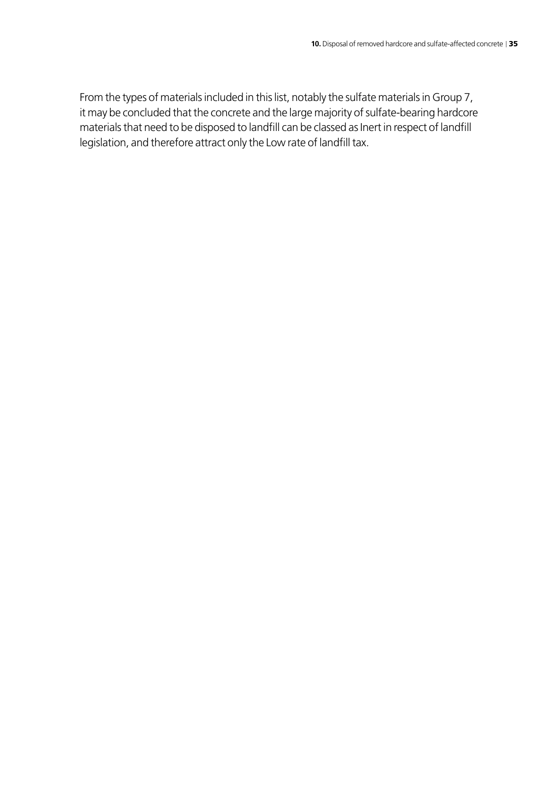From the types of materials included in this list, notably the sulfate materials in Group 7, it may be concluded that the concrete and the large majority of sulfate-bearing hardcore materials that need to be disposed to landfill can be classed as Inert in respect of landfill legislation, and therefore attract only the Low rate of landfill tax.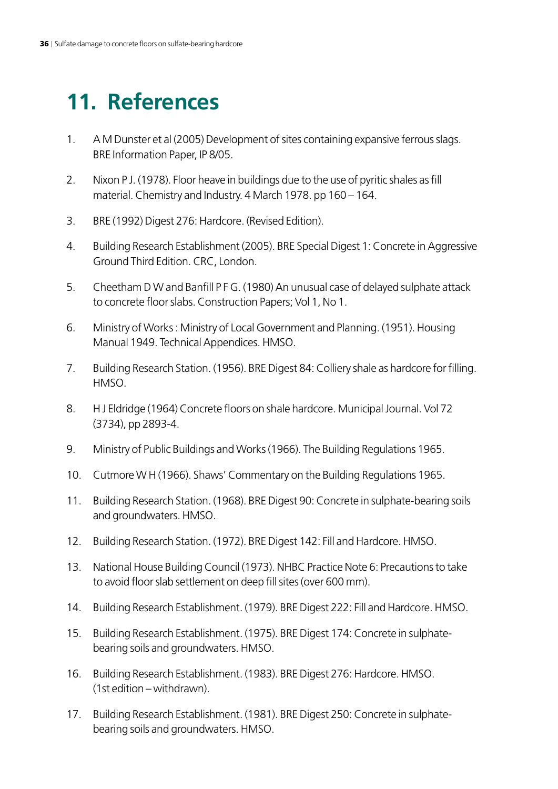## <span id="page-37-0"></span>**11. References**

- 1. A M Dunster et al (2005) Development of sites containing expansive ferrous slags. BRE Information Paper, IP 8/05.
- 2. Nixon P J. (1978). Floor heave in buildings due to the use of pyritic shales as fill material. Chemistry and Industry. 4 March 1978. pp 160 – 164.
- 3. BRE (1992) Digest 276: Hardcore. (Revised Edition).
- 4. Building Research Establishment (2005). BRE Special Digest 1: Concrete in Aggressive Ground Third Edition. CRC, London.
- 5. Cheetham D W and Banfill P F G. (1980) An unusual case of delayed sulphate attack to concrete floor slabs. Construction Papers; Vol 1, No 1.
- 6. Ministry of Works : Ministry of Local Government and Planning. (1951). Housing Manual 1949. Technical Appendices. HMSO.
- 7. Building Research Station. (1956). BRE Digest 84: Colliery shale as hardcore for filling. HMSO.
- 8. H J Eldridge (1964) Concrete floors on shale hardcore. Municipal Journal. Vol 72 (3734), pp 2893-4.
- 9. Ministry of Public Buildings and Works (1966). The Building Regulations 1965.
- 10. Cutmore W H (1966). Shaws' Commentary on the Building Regulations 1965.
- 11. Building Research Station. (1968). BRE Digest 90: Concrete in sulphate-bearing soils and groundwaters. HMSO.
- 12. Building Research Station. (1972). BRE Digest 142: Fill and Hardcore. HMSO.
- 13. National House Building Council (1973). NHBC Practice Note 6: Precautions to take to avoid floor slab settlement on deep fill sites (over 600 mm).
- 14. Building Research Establishment. (1979). BRE Digest 222: Fill and Hardcore. HMSO.
- 15. Building Research Establishment. (1975). BRE Digest 174: Concrete in sulphatebearing soils and groundwaters. HMSO.
- 16. Building Research Establishment. (1983). BRE Digest 276: Hardcore. HMSO. (1st edition – withdrawn).
- 17. Building Research Establishment. (1981). BRE Digest 250: Concrete in sulphatebearing soils and groundwaters. HMSO.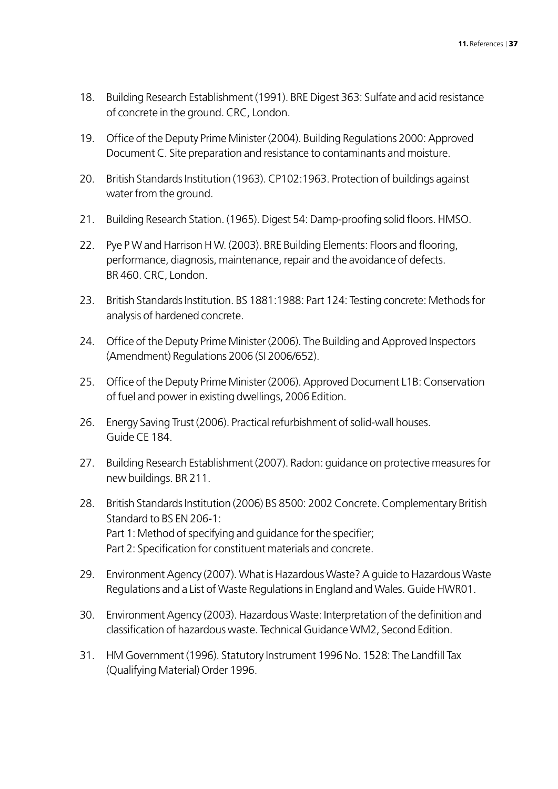- 18. Building Research Establishment (1991). BRE Digest 363: Sulfate and acid resistance of concrete in the ground. CRC, London.
- 19. Office of the Deputy Prime Minister (2004). Building Regulations 2000: Approved Document C. Site preparation and resistance to contaminants and moisture.
- 20. British Standards Institution (1963). CP102:1963. Protection of buildings against water from the ground.
- 21. Building Research Station. (1965). Digest 54: Damp-proofing solid floors. HMSO.
- 22. Pye P W and Harrison H W. (2003). BRE Building Elements: Floors and flooring, performance, diagnosis, maintenance, repair and the avoidance of defects. BR 460. CRC, London.
- 23. British Standards Institution. BS 1881:1988: Part 124: Testing concrete: Methods for analysis of hardened concrete.
- 24. Office of the Deputy Prime Minister (2006). The Building and Approved Inspectors (Amendment) Regulations 2006 (SI 2006/652).
- 25. Office of the Deputy Prime Minister (2006). Approved Document L1B: Conservation of fuel and power in existing dwellings, 2006 Edition.
- 26. Energy Saving Trust (2006). Practical refurbishment of solid-wall houses. Guide CE 184.
- 27. Building Research Establishment (2007). Radon: guidance on protective measures for new buildings. BR 211.
- 28. British Standards Institution (2006) BS 8500: 2002 Concrete. Complementary British Standard to BS EN 206-1: Part 1: Method of specifying and guidance for the specifier; Part 2: Specification for constituent materials and concrete.
- 29. Environment Agency (2007). What is Hazardous Waste? A guide to Hazardous Waste Regulations and a List of Waste Regulations in England and Wales. Guide HWR01.
- 30. Environment Agency (2003). Hazardous Waste: Interpretation of the definition and classification of hazardous waste. Technical Guidance WM2, Second Edition.
- 31. HM Government (1996). Statutory Instrument 1996 No. 1528: The Landfill Tax (Qualifying Material) Order 1996.